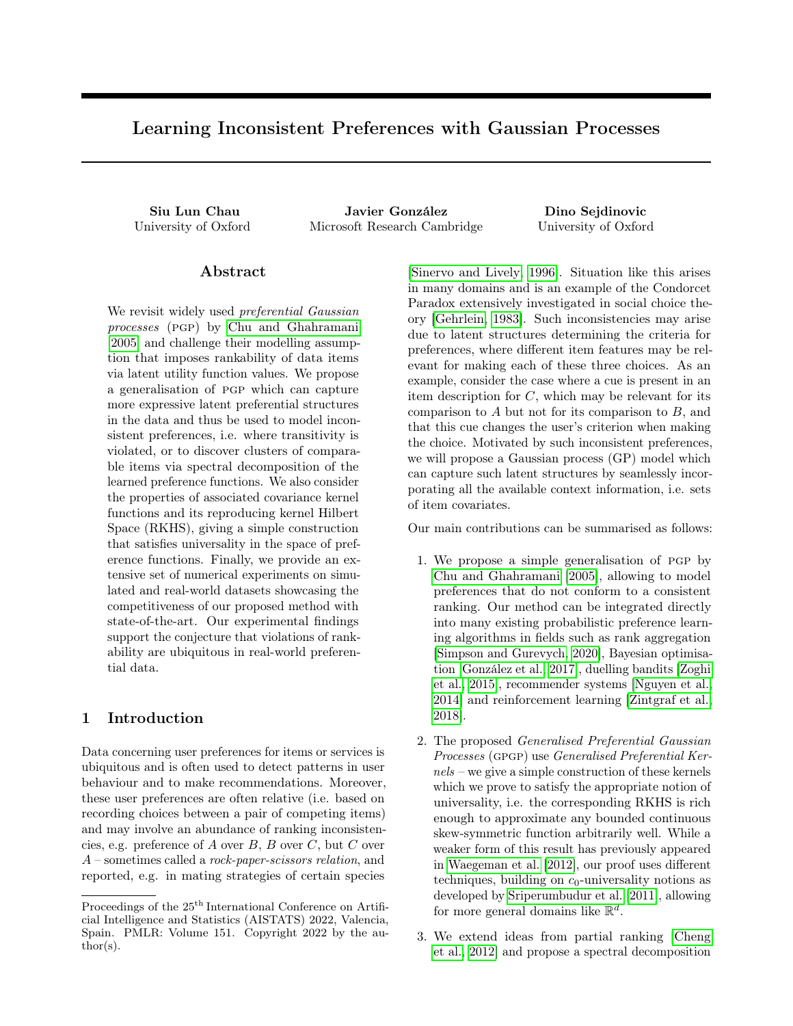# Learning Inconsistent Preferences with Gaussian Processes

Siu Lun Chau Javier González Dino Sejdinovic University of Oxford Microsoft Research Cambridge University of Oxford

#### Abstract

We revisit widely used *preferential Gaussian* processes (pgp) by [Chu and Ghahramani](#page-8-0) [\[2005\]](#page-8-0) and challenge their modelling assumption that imposes rankability of data items via latent utility function values. We propose a generalisation of pgp which can capture more expressive latent preferential structures in the data and thus be used to model inconsistent preferences, i.e. where transitivity is violated, or to discover clusters of comparable items via spectral decomposition of the learned preference functions. We also consider the properties of associated covariance kernel functions and its reproducing kernel Hilbert Space (RKHS), giving a simple construction that satisfies universality in the space of preference functions. Finally, we provide an extensive set of numerical experiments on simulated and real-world datasets showcasing the competitiveness of our proposed method with state-of-the-art. Our experimental findings support the conjecture that violations of rankability are ubiquitous in real-world preferential data.

## 1 Introduction

Data concerning user preferences for items or services is ubiquitous and is often used to detect patterns in user behaviour and to make recommendations. Moreover, these user preferences are often relative (i.e. based on recording choices between a pair of competing items) and may involve an abundance of ranking inconsistencies, e.g. preference of A over  $B, B$  over  $C$ , but C over A – sometimes called a rock-paper-scissors relation, and reported, e.g. in mating strategies of certain species

[\[Sinervo and Lively, 1996\]](#page-8-1). Situation like this arises in many domains and is an example of the Condorcet Paradox extensively investigated in social choice theory [\[Gehrlein, 1983\]](#page-8-2). Such inconsistencies may arise due to latent structures determining the criteria for preferences, where different item features may be relevant for making each of these three choices. As an example, consider the case where a cue is present in an item description for  $C$ , which may be relevant for its comparison to  $A$  but not for its comparison to  $B$ , and that this cue changes the user's criterion when making the choice. Motivated by such inconsistent preferences, we will propose a Gaussian process (GP) model which can capture such latent structures by seamlessly incorporating all the available context information, i.e. sets of item covariates.

Our main contributions can be summarised as follows:

- 1. We propose a simple generalisation of pgp by [Chu and Ghahramani](#page-8-0) [\[2005\]](#page-8-0), allowing to model preferences that do not conform to a consistent ranking. Our method can be integrated directly into many existing probabilistic preference learning algorithms in fields such as rank aggregation [\[Simpson and Gurevych, 2020\]](#page-8-3), Bayesian optimisation [\[González et al., 2017\]](#page-8-4), duelling bandits [\[Zoghi](#page-8-5) [et al., 2015\]](#page-8-5), recommender systems [\[Nguyen et al.,](#page-8-6) [2014\]](#page-8-6) and reinforcement learning [\[Zintgraf et al.,](#page-8-7) [2018\]](#page-8-7).
- 2. The proposed Generalised Preferential Gaussian Processes (gpgp) use Generalised Preferential Ker $nels$  – we give a simple construction of these kernels which we prove to satisfy the appropriate notion of universality, i.e. the corresponding RKHS is rich enough to approximate any bounded continuous skew-symmetric function arbitrarily well. While a weaker form of this result has previously appeared in [Waegeman et al.](#page-8-8) [\[2012\]](#page-8-8), our proof uses different techniques, building on  $c_0$ -universality notions as developed by [Sriperumbudur et al.](#page-8-9) [\[2011\]](#page-8-9), allowing for more general domains like  $\mathbb{R}^d$ .
- 3. We extend ideas from partial ranking [\[Cheng](#page-8-10) [et al., 2012\]](#page-8-10) and propose a spectral decomposition

Proceedings of the  $25<sup>th</sup>$  International Conference on Artificial Intelligence and Statistics (AISTATS) 2022, Valencia, Spain. PMLR: Volume 151. Copyright 2022 by the au- $\text{thor}(s)$ .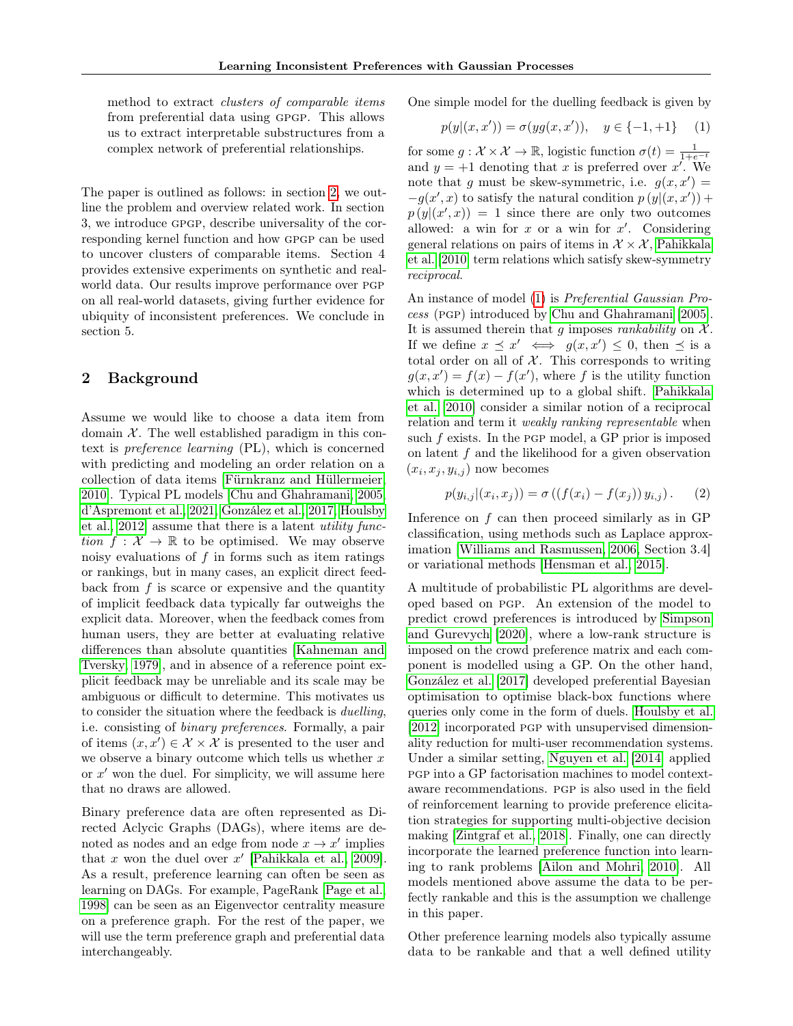method to extract clusters of comparable items from preferential data using gpgp. This allows us to extract interpretable substructures from a complex network of preferential relationships.

The paper is outlined as follows: in section [2,](#page-1-0) we outline the problem and overview related work. In section 3, we introduce gpgp, describe universality of the corresponding kernel function and how gpgp can be used to uncover clusters of comparable items. Section 4 provides extensive experiments on synthetic and realworld data. Our results improve performance over pgp on all real-world datasets, giving further evidence for ubiquity of inconsistent preferences. We conclude in section 5.

## <span id="page-1-0"></span>2 Background

Assume we would like to choose a data item from domain  $X$ . The well established paradigm in this context is preference learning (PL), which is concerned with predicting and modeling an order relation on a collection of data items [\[Fürnkranz and Hüllermeier,](#page-8-11) [2010\]](#page-8-11). Typical PL models [\[Chu and Ghahramani, 2005,](#page-8-0) [d'Aspremont et al., 2021,](#page-8-12) [González et al., 2017,](#page-8-4) [Houlsby](#page-8-13) [et al., 2012\]](#page-8-13) assume that there is a latent utility function  $f: \mathcal{X} \to \mathbb{R}$  to be optimised. We may observe noisy evaluations of  $f$  in forms such as item ratings or rankings, but in many cases, an explicit direct feedback from  $f$  is scarce or expensive and the quantity of implicit feedback data typically far outweighs the explicit data. Moreover, when the feedback comes from human users, they are better at evaluating relative differences than absolute quantities [\[Kahneman and](#page-8-14) [Tversky, 1979\]](#page-8-14), and in absence of a reference point explicit feedback may be unreliable and its scale may be ambiguous or difficult to determine. This motivates us to consider the situation where the feedback is duelling, i.e. consisting of binary preferences. Formally, a pair of items  $(x, x') \in \mathcal{X} \times \mathcal{X}$  is presented to the user and we observe a binary outcome which tells us whether  $x$ or  $x'$  won the duel. For simplicity, we will assume here that no draws are allowed.

Binary preference data are often represented as Directed Aclycic Graphs (DAGs), where items are denoted as nodes and an edge from node  $x \to x'$  implies that x won the duel over  $x'$  [\[Pahikkala et al., 2009\]](#page-8-15). As a result, preference learning can often be seen as learning on DAGs. For example, PageRank [\[Page et al.,](#page-8-16) [1998\]](#page-8-16) can be seen as an Eigenvector centrality measure on a preference graph. For the rest of the paper, we will use the term preference graph and preferential data interchangeably.

One simple model for the duelling feedback is given by

<span id="page-1-1"></span>
$$
p(y|(x, x')) = \sigma(yg(x, x')), \quad y \in \{-1, +1\} \quad (1)
$$

for some  $g: \mathcal{X} \times \mathcal{X} \to \mathbb{R}$ , logistic function  $\sigma(t) = \frac{1}{1+e^{-t}}$ and  $y = +1$  denoting that x is preferred over  $x^r$ . We note that g must be skew-symmetric, i.e.  $g(x, x') =$  $-g(x',x)$  to satisfy the natural condition  $p(y|(x,x')) +$  $p(y|(x',x)) = 1$  since there are only two outcomes allowed: a win for  $x$  or a win for  $x'$ . Considering general relations on pairs of items in  $\mathcal{X} \times \mathcal{X}$ , [Pahikkala](#page-8-17) [et al.](#page-8-17) [\[2010\]](#page-8-17) term relations which satisfy skew-symmetry reciprocal.

An instance of model [\(1\)](#page-1-1) is Preferential Gaussian Process (pgp) introduced by [Chu and Ghahramani](#page-8-0) [\[2005\]](#page-8-0). It is assumed therein that g imposes *rankability* on  $X$ . If we define  $x \preceq x' \iff g(x, x') \leq 0$ , then  $\preceq$  is a total order on all of  $X$ . This corresponds to writing  $g(x, x') = f(x) - f(x')$ , where f is the utility function which is determined up to a global shift. [Pahikkala](#page-8-17) [et al.](#page-8-17) [\[2010\]](#page-8-17) consider a similar notion of a reciprocal relation and term it *weakly ranking representable* when such  $f$  exists. In the PGP model, a GP prior is imposed on latent  $f$  and the likelihood for a given observation  $(x_i, x_j, y_{i,j})$  now becomes

$$
p(y_{i,j}|(x_i, x_j)) = \sigma((f(x_i) - f(x_j))y_{i,j}).
$$
 (2)

Inference on  $f$  can then proceed similarly as in GP classification, using methods such as Laplace approximation [\[Williams and Rasmussen, 2006,](#page-8-18) Section 3.4] or variational methods [\[Hensman et al., 2015\]](#page-8-19).

A multitude of probabilistic PL algorithms are developed based on pgp. An extension of the model to predict crowd preferences is introduced by [Simpson](#page-8-3) [and Gurevych](#page-8-3) [\[2020\]](#page-8-3), where a low-rank structure is imposed on the crowd preference matrix and each component is modelled using a GP. On the other hand, [González et al.](#page-8-4) [\[2017\]](#page-8-4) developed preferential Bayesian optimisation to optimise black-box functions where queries only come in the form of duels. [Houlsby et al.](#page-8-13) [\[2012\]](#page-8-13) incorporated pgp with unsupervised dimensionality reduction for multi-user recommendation systems. Under a similar setting, [Nguyen et al.](#page-8-6) [\[2014\]](#page-8-6) applied pgp into a GP factorisation machines to model contextaware recommendations. pgp is also used in the field of reinforcement learning to provide preference elicitation strategies for supporting multi-objective decision making [\[Zintgraf et al., 2018\]](#page-8-7). Finally, one can directly incorporate the learned preference function into learning to rank problems [\[Ailon and Mohri, 2010\]](#page-8-20). All models mentioned above assume the data to be perfectly rankable and this is the assumption we challenge in this paper.

Other preference learning models also typically assume data to be rankable and that a well defined utility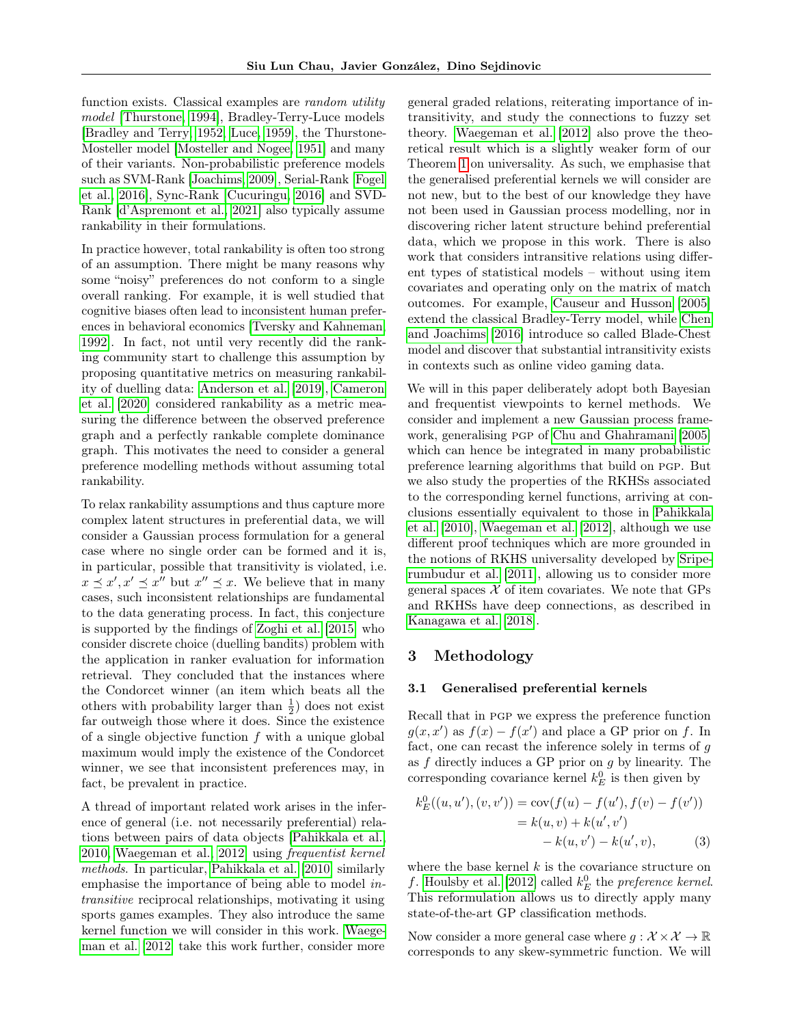function exists. Classical examples are random utility model [\[Thurstone, 1994\]](#page-8-21), Bradley-Terry-Luce models [\[Bradley and Terry, 1952,](#page-8-22) [Luce, 1959\]](#page-8-23), the Thurstone-Mosteller model [\[Mosteller and Nogee, 1951\]](#page-8-24) and many of their variants. Non-probabilistic preference models such as SVM-Rank [\[Joachims, 2009\]](#page-8-25), Serial-Rank [\[Fogel](#page-9-0) [et al., 2016\]](#page-9-0), Sync-Rank [\[Cucuringu, 2016\]](#page-9-1) and SVD-Rank [\[d'Aspremont et al., 2021\]](#page-8-12) also typically assume rankability in their formulations.

In practice however, total rankability is often too strong of an assumption. There might be many reasons why some "noisy" preferences do not conform to a single overall ranking. For example, it is well studied that cognitive biases often lead to inconsistent human preferences in behavioral economics [\[Tversky and Kahneman,](#page-9-2) [1992\]](#page-9-2). In fact, not until very recently did the ranking community start to challenge this assumption by proposing quantitative metrics on measuring rankability of duelling data: [Anderson et al.](#page-9-3) [\[2019\]](#page-9-3), [Cameron](#page-9-4) [et al.](#page-9-4) [\[2020\]](#page-9-4) considered rankability as a metric measuring the difference between the observed preference graph and a perfectly rankable complete dominance graph. This motivates the need to consider a general preference modelling methods without assuming total rankability.

To relax rankability assumptions and thus capture more complex latent structures in preferential data, we will consider a Gaussian process formulation for a general case where no single order can be formed and it is, in particular, possible that transitivity is violated, i.e.  $x \preceq x', x' \preceq x''$  but  $x'' \preceq x$ . We believe that in many cases, such inconsistent relationships are fundamental to the data generating process. In fact, this conjecture is supported by the findings of [Zoghi et al.](#page-8-5) [\[2015\]](#page-8-5) who consider discrete choice (duelling bandits) problem with the application in ranker evaluation for information retrieval. They concluded that the instances where the Condorcet winner (an item which beats all the others with probability larger than  $\frac{1}{2}$ ) does not exist far outweigh those where it does. Since the existence of a single objective function f with a unique global maximum would imply the existence of the Condorcet winner, we see that inconsistent preferences may, in fact, be prevalent in practice.

A thread of important related work arises in the inference of general (i.e. not necessarily preferential) relations between pairs of data objects [\[Pahikkala et al.,](#page-8-17) [2010,](#page-8-17) [Waegeman et al., 2012\]](#page-8-8) using frequentist kernel methods. In particular, [Pahikkala et al.](#page-8-17) [\[2010\]](#page-8-17) similarly emphasise the importance of being able to model intransitive reciprocal relationships, motivating it using sports games examples. They also introduce the same kernel function we will consider in this work. [Waege](#page-8-8)[man et al.](#page-8-8) [\[2012\]](#page-8-8) take this work further, consider more general graded relations, reiterating importance of intransitivity, and study the connections to fuzzy set theory. [Waegeman et al.](#page-8-8) [\[2012\]](#page-8-8) also prove the theoretical result which is a slightly weaker form of our Theorem [1](#page-3-0) on universality. As such, we emphasise that the generalised preferential kernels we will consider are not new, but to the best of our knowledge they have not been used in Gaussian process modelling, nor in discovering richer latent structure behind preferential data, which we propose in this work. There is also work that considers intransitive relations using different types of statistical models – without using item covariates and operating only on the matrix of match outcomes. For example, [Causeur and Husson](#page-9-5) [\[2005\]](#page-9-5) extend the classical Bradley-Terry model, while [Chen](#page-9-6) [and Joachims](#page-9-6) [\[2016\]](#page-9-6) introduce so called Blade-Chest model and discover that substantial intransitivity exists in contexts such as online video gaming data.

We will in this paper deliberately adopt both Bayesian and frequentist viewpoints to kernel methods. We consider and implement a new Gaussian process framework, generalising pgp of [Chu and Ghahramani](#page-8-0) [\[2005\]](#page-8-0) which can hence be integrated in many probabilistic preference learning algorithms that build on pgp. But we also study the properties of the RKHSs associated to the corresponding kernel functions, arriving at conclusions essentially equivalent to those in [Pahikkala](#page-8-17) [et al.](#page-8-17) [\[2010\]](#page-8-17), [Waegeman et al.](#page-8-8) [\[2012\]](#page-8-8), although we use different proof techniques which are more grounded in the notions of RKHS universality developed by [Sripe](#page-8-9)[rumbudur et al.](#page-8-9) [\[2011\]](#page-8-9), allowing us to consider more general spaces  $X$  of item covariates. We note that GPs and RKHSs have deep connections, as described in [Kanagawa et al.](#page-9-7) [\[2018\]](#page-9-7).

## 3 Methodology

#### 3.1 Generalised preferential kernels

Recall that in pgp we express the preference function  $g(x, x')$  as  $f(x) - f(x')$  and place a GP prior on f. In fact, one can recast the inference solely in terms of g as  $f$  directly induces a GP prior on  $g$  by linearity. The corresponding covariance kernel  $k_E^0$  is then given by

$$
k_E^0((u, u'), (v, v')) = \text{cov}(f(u) - f(u'), f(v) - f(v'))
$$
  
=  $k(u, v) + k(u', v')$   
-  $k(u, v') - k(u', v),$  (3)

where the base kernel  $k$  is the covariance structure on f. [Houlsby et al.](#page-8-13) [\[2012\]](#page-8-13) called  $k_E^0$  the *preference kernel*. This reformulation allows us to directly apply many state-of-the-art GP classification methods.

Now consider a more general case where  $q: \mathcal{X} \times \mathcal{X} \to \mathbb{R}$ corresponds to any skew-symmetric function. We will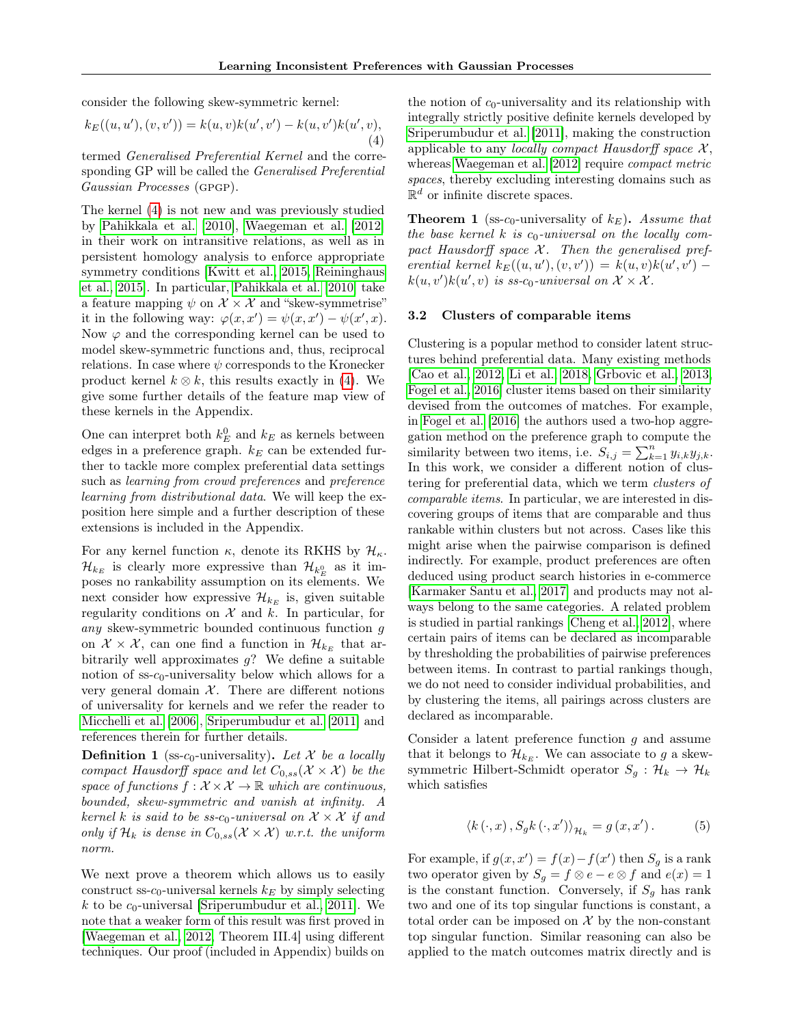consider the following skew-symmetric kernel:

<span id="page-3-1"></span>
$$
k_E((u, u'), (v, v')) = k(u, v)k(u', v') - k(u, v')k(u', v),
$$
  
(4)

termed Generalised Preferential Kernel and the corresponding GP will be called the Generalised Preferential Gaussian Processes (GPGP).

The kernel [\(4\)](#page-3-1) is not new and was previously studied by [Pahikkala et al.](#page-8-17) [\[2010\]](#page-8-17), [Waegeman et al.](#page-8-8) [\[2012\]](#page-8-8) in their work on intransitive relations, as well as in persistent homology analysis to enforce appropriate symmetry conditions [\[Kwitt et al., 2015,](#page-9-8) [Reininghaus](#page-9-9) [et al., 2015\]](#page-9-9). In particular, [Pahikkala et al.](#page-8-17) [\[2010\]](#page-8-17) take a feature mapping  $\psi$  on  $\mathcal{X} \times \mathcal{X}$  and "skew-symmetrise" it in the following way:  $\varphi(x, x') = \psi(x, x') - \psi(x', x)$ . Now  $\varphi$  and the corresponding kernel can be used to model skew-symmetric functions and, thus, reciprocal relations. In case where  $\psi$  corresponds to the Kronecker product kernel  $k \otimes k$ , this results exactly in [\(4\)](#page-3-1). We give some further details of the feature map view of these kernels in the Appendix.

One can interpret both  $k_E^0$  and  $k_E$  as kernels between edges in a preference graph.  $k_E$  can be extended further to tackle more complex preferential data settings such as learning from crowd preferences and preference learning from distributional data. We will keep the exposition here simple and a further description of these extensions is included in the Appendix.

For any kernel function  $\kappa$ , denote its RKHS by  $\mathcal{H}_{\kappa}$ .  $\mathcal{H}_{k_E}$  is clearly more expressive than  $\mathcal{H}_{k_E^0}$  as it imposes no rankability assumption on its elements. We next consider how expressive  $\mathcal{H}_{k_E}$  is, given suitable regularity conditions on  $\mathcal X$  and  $k$ . In particular, for any skew-symmetric bounded continuous function g on  $\mathcal{X} \times \mathcal{X}$ , can one find a function in  $\mathcal{H}_{k_E}$  that arbitrarily well approximates  $q$ ? We define a suitable notion of  $ss-c_0$ -universality below which allows for a very general domain  $X$ . There are different notions of universality for kernels and we refer the reader to [Micchelli et al.](#page-9-10) [\[2006\]](#page-9-10), [Sriperumbudur et al.](#page-8-9) [\[2011\]](#page-8-9) and references therein for further details.

**Definition 1** (ss-c<sub>0</sub>-universality). Let X be a locally compact Hausdorff space and let  $C_{0,ss}(\mathcal{X} \times \mathcal{X})$  be the space of functions  $f: \mathcal{X} \times \mathcal{X} \to \mathbb{R}$  which are continuous, bounded, skew-symmetric and vanish at infinity. A kernel k is said to be ss- $c_0$ -universal on  $\mathcal{X} \times \mathcal{X}$  if and only if  $\mathcal{H}_k$  is dense in  $C_{0,ss}(\mathcal{X} \times \mathcal{X})$  w.r.t. the uniform norm.

We next prove a theorem which allows us to easily construct ss- $c_0$ -universal kernels  $k_E$  by simply selecting k to be  $c_0$ -universal [\[Sriperumbudur et al., 2011\]](#page-8-9). We note that a weaker form of this result was first proved in [\[Waegeman et al., 2012,](#page-8-8) Theorem III.4] using different techniques. Our proof (included in Appendix) builds on the notion of  $c_0$ -universality and its relationship with integrally strictly positive definite kernels developed by [Sriperumbudur et al.](#page-8-9) [\[2011\]](#page-8-9), making the construction applicable to any *locally compact Hausdorff space*  $X$ , whereas [Waegeman et al.](#page-8-8) [\[2012\]](#page-8-8) require compact metric spaces, thereby excluding interesting domains such as  $\mathbb{R}^d$  or infinite discrete spaces.

<span id="page-3-0"></span>**Theorem 1** (ss- $c_0$ -universality of  $k_E$ ). Assume that the base kernel k is  $c_0$ -universal on the locally compact Hausdorff space  $X$ . Then the generalised preferential kernel  $k_E((u, u'), (v, v')) = k(u, v)k(u', v')$  $k(u, v')k(u', v)$  is ss-c<sub>0</sub>-universal on  $\mathcal{X} \times \mathcal{X}$ .

#### 3.2 Clusters of comparable items

Clustering is a popular method to consider latent structures behind preferential data. Many existing methods [\[Cao et al., 2012,](#page-9-11) [Li et al., 2018,](#page-9-12) [Grbovic et al., 2013,](#page-9-13) [Fogel et al., 2016\]](#page-9-0) cluster items based on their similarity devised from the outcomes of matches. For example, in [Fogel et al.](#page-9-0) [\[2016\]](#page-9-0) the authors used a two-hop aggregation method on the preference graph to compute the similarity between two items, i.e.  $S_{i,j} = \sum_{k=1}^{n} y_{i,k} y_{j,k}$ . In this work, we consider a different notion of clustering for preferential data, which we term clusters of comparable items. In particular, we are interested in discovering groups of items that are comparable and thus rankable within clusters but not across. Cases like this might arise when the pairwise comparison is defined indirectly. For example, product preferences are often deduced using product search histories in e-commerce [\[Karmaker Santu et al., 2017\]](#page-9-14) and products may not always belong to the same categories. A related problem is studied in partial rankings [\[Cheng et al., 2012\]](#page-8-10), where certain pairs of items can be declared as incomparable by thresholding the probabilities of pairwise preferences between items. In contrast to partial rankings though, we do not need to consider individual probabilities, and by clustering the items, all pairings across clusters are declared as incomparable.

Consider a latent preference function  $g$  and assume that it belongs to  $\mathcal{H}_{k_{E}}$ . We can associate to g a skewsymmetric Hilbert-Schmidt operator  $S_q : \mathcal{H}_k \to \mathcal{H}_k$ which satisfies

$$
\langle k(\cdot, x), S_g k(\cdot, x') \rangle_{\mathcal{H}_k} = g(x, x'). \tag{5}
$$

For example, if  $g(x, x') = f(x) - f(x')$  then  $S_g$  is a rank two operator given by  $S_g = f \otimes e - e \otimes f$  and  $e(x) = 1$ is the constant function. Conversely, if  $S<sub>g</sub>$  has rank two and one of its top singular functions is constant, a total order can be imposed on  $X$  by the non-constant top singular function. Similar reasoning can also be applied to the match outcomes matrix directly and is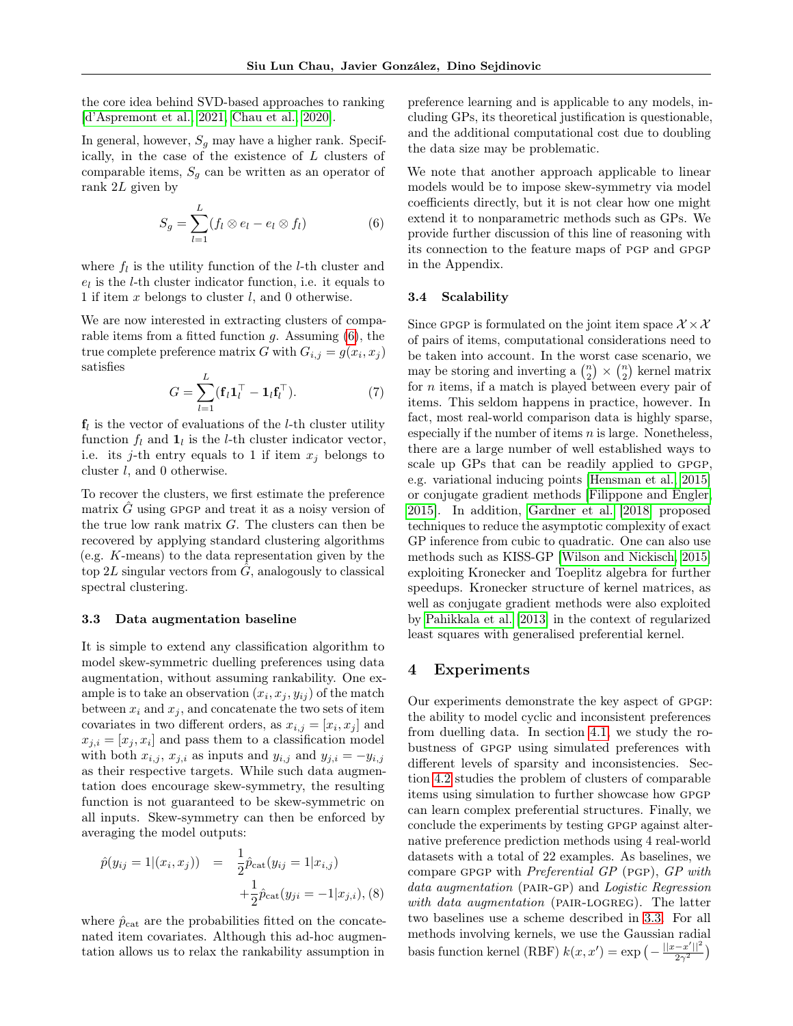the core idea behind SVD-based approaches to ranking [\[d'Aspremont et al., 2021,](#page-8-12) [Chau et al., 2020\]](#page-9-15).

In general, however,  $S_g$  may have a higher rank. Specifically, in the case of the existence of L clusters of comparable items,  $S<sub>g</sub>$  can be written as an operator of rank 2L given by

<span id="page-4-0"></span>
$$
S_g = \sum_{l=1}^{L} (f_l \otimes e_l - e_l \otimes f_l)
$$
 (6)

where  $f_l$  is the utility function of the *l*-th cluster and  $e_l$  is the *l*-th cluster indicator function, i.e. it equals to 1 if item  $x$  belongs to cluster  $l$ , and 0 otherwise.

We are now interested in extracting clusters of comparable items from a fitted function  $g$ . Assuming  $(6)$ , the true complete preference matrix G with  $G_{i,j} = g(x_i, x_j)$ satisfies

$$
G = \sum_{l=1}^{L} (\mathbf{f}_l \mathbf{1}_l^\top - \mathbf{1}_l \mathbf{f}_l^\top). \tag{7}
$$

 $f_l$  is the vector of evaluations of the *l*-th cluster utility function  $f_l$  and  $\mathbf{1}_l$  is the *l*-th cluster indicator vector, i.e. its j-th entry equals to 1 if item  $x_j$  belongs to cluster l, and 0 otherwise.

To recover the clusters, we first estimate the preference matrix  $G$  using GPGP and treat it as a noisy version of the true low rank matrix  $G$ . The clusters can then be recovered by applying standard clustering algorithms (e.g. K-means) to the data representation given by the top 2L singular vectors from  $\hat{G}$ , analogously to classical spectral clustering.

#### <span id="page-4-1"></span>3.3 Data augmentation baseline

It is simple to extend any classification algorithm to model skew-symmetric duelling preferences using data augmentation, without assuming rankability. One example is to take an observation  $(x_i, x_j, y_{ij})$  of the match between  $x_i$  and  $x_j$ , and concatenate the two sets of item covariates in two different orders, as  $x_{i,j} = [x_i, x_j]$  and  $x_{j,i} = [x_j, x_i]$  and pass them to a classification model with both  $x_{i,j}$ ,  $x_{j,i}$  as inputs and  $y_{i,j}$  and  $y_{j,i} = -y_{i,j}$ as their respective targets. While such data augmentation does encourage skew-symmetry, the resulting function is not guaranteed to be skew-symmetric on all inputs. Skew-symmetry can then be enforced by averaging the model outputs:

$$
\hat{p}(y_{ij} = 1 | (x_i, x_j)) = \frac{1}{2} \hat{p}_{\text{cat}}(y_{ij} = 1 | x_{i,j}) + \frac{1}{2} \hat{p}_{\text{cat}}(y_{ji} = -1 | x_{j,i}), (8)
$$

where  $\hat{p}_{\text{cat}}$  are the probabilities fitted on the concatenated item covariates. Although this ad-hoc augmentation allows us to relax the rankability assumption in preference learning and is applicable to any models, including GPs, its theoretical justification is questionable, and the additional computational cost due to doubling the data size may be problematic.

We note that another approach applicable to linear models would be to impose skew-symmetry via model coefficients directly, but it is not clear how one might extend it to nonparametric methods such as GPs. We provide further discussion of this line of reasoning with its connection to the feature maps of pgp and gpgp in the Appendix.

#### 3.4 Scalability

Since GPGP is formulated on the joint item space  $\mathcal{X} \times \mathcal{X}$ of pairs of items, computational considerations need to be taken into account. In the worst case scenario, we may be storing and inverting a  $\binom{n}{2} \times \binom{n}{2}$  kernel matrix for  $n$  items, if a match is played between every pair of items. This seldom happens in practice, however. In fact, most real-world comparison data is highly sparse, especially if the number of items  $n$  is large. Nonetheless, there are a large number of well established ways to scale up GPs that can be readily applied to GPGP. e.g. variational inducing points [\[Hensman et al., 2015\]](#page-8-19) or conjugate gradient methods [\[Filippone and Engler,](#page-9-16) [2015\]](#page-9-16). In addition, [Gardner et al.](#page-9-17) [\[2018\]](#page-9-17) proposed techniques to reduce the asymptotic complexity of exact GP inference from cubic to quadratic. One can also use methods such as KISS-GP [\[Wilson and Nickisch, 2015\]](#page-9-18) exploiting Kronecker and Toeplitz algebra for further speedups. Kronecker structure of kernel matrices, as well as conjugate gradient methods were also exploited by [Pahikkala et al.](#page-9-19) [\[2013\]](#page-9-19) in the context of regularized least squares with generalised preferential kernel.

### 4 Experiments

Our experiments demonstrate the key aspect of GPGP: the ability to model cyclic and inconsistent preferences from duelling data. In section [4.1,](#page-5-0) we study the robustness of GPGP using simulated preferences with different levels of sparsity and inconsistencies. Section [4.2](#page-5-1) studies the problem of clusters of comparable items using simulation to further showcase how gpgp can learn complex preferential structures. Finally, we conclude the experiments by testing GPGP against alternative preference prediction methods using 4 real-world datasets with a total of 22 examples. As baselines, we compare gpgp with Preferential GP (pgp), GP with data augmentation (PAIR-GP) and Logistic Regression with data augmentation (PAIR-LOGREG). The latter two baselines use a scheme described in [3.3.](#page-4-1) For all methods involving kernels, we use the Gaussian radial basis function kernel (RBF)  $k(x, x') = \exp \left(-\frac{||x - x'||^2}{2\alpha^2}\right)$  $rac{-x'||^2}{2\gamma^2}$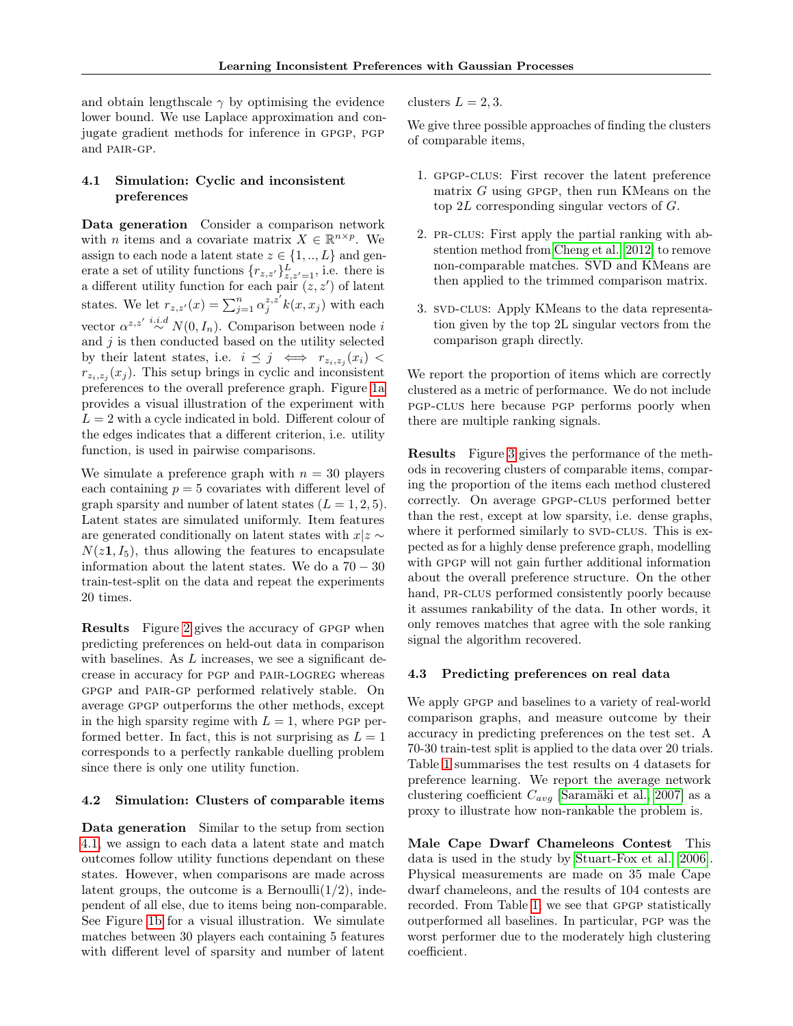and obtain lengthscale  $\gamma$  by optimising the evidence lower bound. We use Laplace approximation and conjugate gradient methods for inference in gpgp, pgp and pair-gp.

#### <span id="page-5-0"></span>4.1 Simulation: Cyclic and inconsistent preferences

Data generation Consider a comparison network with *n* items and a covariate matrix  $X \in \mathbb{R}^{n \times p}$ . We assign to each node a latent state  $z \in \{1, ..., L\}$  and generate a set of utility functions  $\{r_{z,z'}\}_{z,z'=1}^L$ , i.e. there is a different utility function for each pair  $(z, z')$  of latent states. We let  $r_{z,z'}(x) = \sum_{j=1}^n \alpha_j^{z,z'} k(x, x_j)$  with each vector  $\alpha^{z,z'} \stackrel{i.i.d}{\sim} N(0, I_n)$ . Comparison between node i and  $j$  is then conducted based on the utility selected by their latent states, i.e.  $i \leq j \iff r_{z_i, z_j}(x_i)$  $r_{z_i,z_j}(x_j)$ . This setup brings in cyclic and inconsistent preferences to the overall preference graph. Figure [1a](#page-6-0) provides a visual illustration of the experiment with  $L = 2$  with a cycle indicated in bold. Different colour of the edges indicates that a different criterion, i.e. utility function, is used in pairwise comparisons.

We simulate a preference graph with  $n = 30$  players each containing  $p = 5$  covariates with different level of graph sparsity and number of latent states  $(L = 1, 2, 5)$ . Latent states are simulated uniformly. Item features are generated conditionally on latent states with  $x|z \sim$  $N(z_1, I_5)$ , thus allowing the features to encapsulate information about the latent states. We do a  $70 - 30$ train-test-split on the data and repeat the experiments 20 times.

Results Figure [2](#page-6-1) gives the accuracy of gpgp when predicting preferences on held-out data in comparison with baselines. As  $L$  increases, we see a significant decrease in accuracy for pgp and pair-logreg whereas gpgp and pair-gp performed relatively stable. On average gpgp outperforms the other methods, except in the high sparsity regime with  $L = 1$ , where PGP performed better. In fact, this is not surprising as  $L = 1$ corresponds to a perfectly rankable duelling problem since there is only one utility function.

#### <span id="page-5-1"></span>4.2 Simulation: Clusters of comparable items

Data generation Similar to the setup from section [4.1,](#page-5-0) we assign to each data a latent state and match outcomes follow utility functions dependant on these states. However, when comparisons are made across latent groups, the outcome is a Bernoulli $(1/2)$ , independent of all else, due to items being non-comparable. See Figure [1b](#page-6-2) for a visual illustration. We simulate matches between 30 players each containing 5 features with different level of sparsity and number of latent clusters  $L = 2, 3$ .

We give three possible approaches of finding the clusters of comparable items,

- 1. gpgp-clus: First recover the latent preference matrix  $G$  using GPGP, then run KMeans on the top 2L corresponding singular vectors of G.
- 2. pr-clus: First apply the partial ranking with abstention method from [Cheng et al.](#page-8-10) [\[2012\]](#page-8-10) to remove non-comparable matches. SVD and KMeans are then applied to the trimmed comparison matrix.
- 3. SVD-CLUS: Apply KMeans to the data representation given by the top 2L singular vectors from the comparison graph directly.

We report the proportion of items which are correctly clustered as a metric of performance. We do not include pgp-clus here because pgp performs poorly when there are multiple ranking signals.

Results Figure [3](#page-6-3) gives the performance of the methods in recovering clusters of comparable items, comparing the proportion of the items each method clustered correctly. On average gpgp-clus performed better than the rest, except at low sparsity, i.e. dense graphs, where it performed similarly to SVD-CLUS. This is expected as for a highly dense preference graph, modelling with GPGP will not gain further additional information about the overall preference structure. On the other hand, PR-CLUS performed consistently poorly because it assumes rankability of the data. In other words, it only removes matches that agree with the sole ranking signal the algorithm recovered.

#### 4.3 Predicting preferences on real data

We apply GPGP and baselines to a variety of real-world comparison graphs, and measure outcome by their accuracy in predicting preferences on the test set. A 70-30 train-test split is applied to the data over 20 trials. Table [1](#page-7-0) summarises the test results on 4 datasets for preference learning. We report the average network clustering coefficient  $C_{avg}$  [\[Saramäki et al., 2007\]](#page-9-20) as a proxy to illustrate how non-rankable the problem is.

Male Cape Dwarf Chameleons Contest This data is used in the study by [Stuart-Fox et al.](#page-9-21) [\[2006\]](#page-9-21). Physical measurements are made on 35 male Cape dwarf chameleons, and the results of 104 contests are recorded. From Table [1,](#page-7-0) we see that GPGP statistically outperformed all baselines. In particular, pgp was the worst performer due to the moderately high clustering coefficient.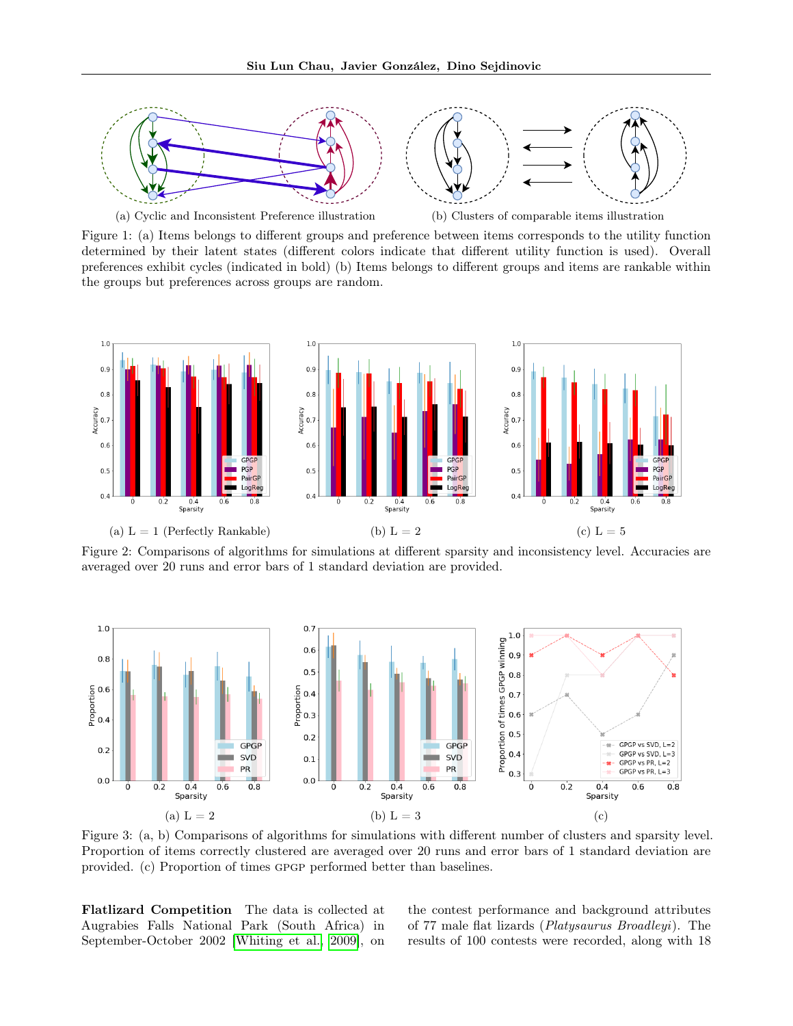<span id="page-6-0"></span>

<span id="page-6-2"></span>

(a) Cyclic and Inconsistent Preference illustration (b) Clusters of comparable items illustration

Figure 1: (a) Items belongs to different groups and preference between items corresponds to the utility function determined by their latent states (different colors indicate that different utility function is used). Overall preferences exhibit cycles (indicated in bold) (b) Items belongs to different groups and items are rankable within the groups but preferences across groups are random.

<span id="page-6-1"></span>

Figure 2: Comparisons of algorithms for simulations at different sparsity and inconsistency level. Accuracies are averaged over 20 runs and error bars of 1 standard deviation are provided.

<span id="page-6-3"></span>

Figure 3: (a, b) Comparisons of algorithms for simulations with different number of clusters and sparsity level. Proportion of items correctly clustered are averaged over 20 runs and error bars of 1 standard deviation are provided. (c) Proportion of times gpgp performed better than baselines.

Flatlizard Competition The data is collected at Augrabies Falls National Park (South Africa) in September-October 2002 [\[Whiting et al., 2009\]](#page-9-22), on the contest performance and background attributes of 77 male flat lizards (Platysaurus Broadleyi). The results of 100 contests were recorded, along with 18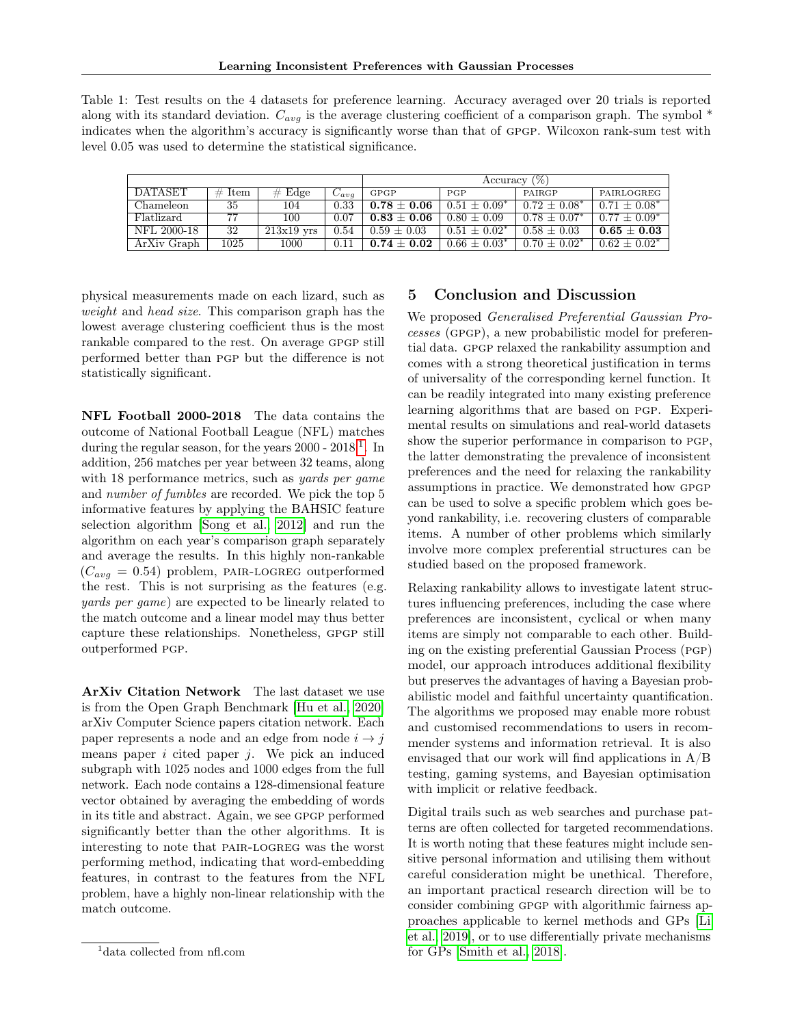<span id="page-7-0"></span>Table 1: Test results on the 4 datasets for preference learning. Accuracy averaged over 20 trials is reported along with its standard deviation.  $C_{avg}$  is the average clustering coefficient of a comparison graph. The symbol  $*$ indicates when the algorithm's accuracy is significantly worse than that of gpgp. Wilcoxon rank-sum test with level 0.05 was used to determine the statistical significance.

|             |          |              |              | $(\%)$<br>Accuracy ' |                   |                   |                   |
|-------------|----------|--------------|--------------|----------------------|-------------------|-------------------|-------------------|
| DATASET     | $#$ Item | $#$ Edge     | $\cup_{avg}$ | <b>GPGP</b>          | <b>PGP</b>        | PAIRGP            | PAIRLOGREG        |
| Chameleon   | 35       | 104          | 0.33         | $0.78\pm0.06$        | $0.51 + 0.09^*$   | $0.72 \pm 0.08^*$ | $0.71 + 0.08^*$   |
| Flatlizard  | 77       | 100          | 0.07         | $0.83 + 0.06$        | $0.80 \pm 0.09$   | $0.78 + 0.07^*$   | $0.77 + 0.09^*$   |
| NFL 2000-18 | 32       | $213x19$ yrs | 0.54         | $0.59 + 0.03$        | $0.51 \pm 0.02^*$ | $0.58 \pm 0.03$   | $0.65 + 0.03$     |
| ArXiv Graph | 1025     | 1000         | 0.11         | $0.74 + 0.02$        | $0.66 + 0.03^*$   | $0.70 + 0.02^*$   | $0.62 \pm 0.02^*$ |

physical measurements made on each lizard, such as weight and head size. This comparison graph has the lowest average clustering coefficient thus is the most rankable compared to the rest. On average gpgp still performed better than pgp but the difference is not statistically significant.

NFL Football 2000-2018 The data contains the outcome of National Football League (NFL) matches during the regular season, for the years  $2000 - 2018$  $2000 - 2018$  $2000 - 2018$ <sup>1</sup>. In addition, 256 matches per year between 32 teams, along with 18 performance metrics, such as *yards per game* and number of fumbles are recorded. We pick the top 5 informative features by applying the BAHSIC feature selection algorithm [\[Song et al., 2012\]](#page-9-23) and run the algorithm on each year's comparison graph separately and average the results. In this highly non-rankable  $(C_{avg} = 0.54)$  problem, PAIR-LOGREG outperformed the rest. This is not surprising as the features (e.g. yards per game) are expected to be linearly related to the match outcome and a linear model may thus better capture these relationships. Nonetheless, gpgp still outperformed pgp.

ArXiv Citation Network The last dataset we use is from the Open Graph Benchmark [\[Hu et al., 2020\]](#page-10-0) arXiv Computer Science papers citation network. Each paper represents a node and an edge from node  $i \rightarrow j$ means paper  $i$  cited paper  $j$ . We pick an induced subgraph with 1025 nodes and 1000 edges from the full network. Each node contains a 128-dimensional feature vector obtained by averaging the embedding of words in its title and abstract. Again, we see gpgp performed significantly better than the other algorithms. It is interesting to note that pair-logreg was the worst performing method, indicating that word-embedding features, in contrast to the features from the NFL problem, have a highly non-linear relationship with the match outcome.

## 5 Conclusion and Discussion

We proposed Generalised Preferential Gaussian Processes (gpgp), a new probabilistic model for preferential data. GPGP relaxed the rankability assumption and comes with a strong theoretical justification in terms of universality of the corresponding kernel function. It can be readily integrated into many existing preference learning algorithms that are based on pgp. Experimental results on simulations and real-world datasets show the superior performance in comparison to pgp, the latter demonstrating the prevalence of inconsistent preferences and the need for relaxing the rankability assumptions in practice. We demonstrated how gpgp can be used to solve a specific problem which goes beyond rankability, i.e. recovering clusters of comparable items. A number of other problems which similarly involve more complex preferential structures can be studied based on the proposed framework.

Relaxing rankability allows to investigate latent structures influencing preferences, including the case where preferences are inconsistent, cyclical or when many items are simply not comparable to each other. Building on the existing preferential Gaussian Process (pgp) model, our approach introduces additional flexibility but preserves the advantages of having a Bayesian probabilistic model and faithful uncertainty quantification. The algorithms we proposed may enable more robust and customised recommendations to users in recommender systems and information retrieval. It is also envisaged that our work will find applications in  $A/B$ testing, gaming systems, and Bayesian optimisation with implicit or relative feedback.

Digital trails such as web searches and purchase patterns are often collected for targeted recommendations. It is worth noting that these features might include sensitive personal information and utilising them without careful consideration might be unethical. Therefore, an important practical research direction will be to consider combining gpgp with algorithmic fairness approaches applicable to kernel methods and GPs [\[Li](#page-10-1) [et al., 2019\]](#page-10-1), or to use differentially private mechanisms for GPs [\[Smith et al., 2018\]](#page-10-2).

<span id="page-7-1"></span><sup>&</sup>lt;sup>1</sup>data collected from nfl.com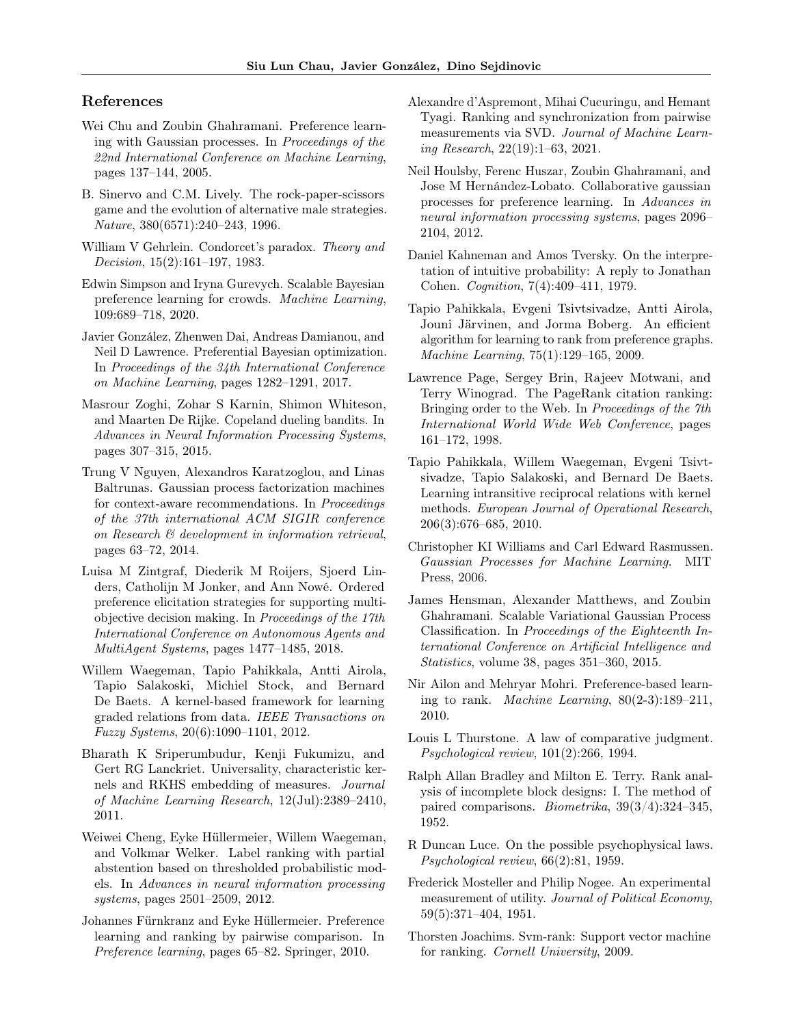#### References

- <span id="page-8-0"></span>Wei Chu and Zoubin Ghahramani. Preference learning with Gaussian processes. In Proceedings of the 22nd International Conference on Machine Learning, pages 137–144, 2005.
- <span id="page-8-1"></span>B. Sinervo and C.M. Lively. The rock-paper-scissors game and the evolution of alternative male strategies. Nature, 380(6571):240–243, 1996.
- <span id="page-8-2"></span>William V Gehrlein. Condorcet's paradox. Theory and Decision, 15(2):161–197, 1983.
- <span id="page-8-3"></span>Edwin Simpson and Iryna Gurevych. Scalable Bayesian preference learning for crowds. Machine Learning, 109:689–718, 2020.
- <span id="page-8-4"></span>Javier González, Zhenwen Dai, Andreas Damianou, and Neil D Lawrence. Preferential Bayesian optimization. In Proceedings of the 34th International Conference on Machine Learning, pages 1282–1291, 2017.
- <span id="page-8-5"></span>Masrour Zoghi, Zohar S Karnin, Shimon Whiteson, and Maarten De Rijke. Copeland dueling bandits. In Advances in Neural Information Processing Systems, pages 307–315, 2015.
- <span id="page-8-6"></span>Trung V Nguyen, Alexandros Karatzoglou, and Linas Baltrunas. Gaussian process factorization machines for context-aware recommendations. In Proceedings of the 37th international ACM SIGIR conference on Research & development in information retrieval, pages 63–72, 2014.
- <span id="page-8-7"></span>Luisa M Zintgraf, Diederik M Roijers, Sjoerd Linders, Catholijn M Jonker, and Ann Nowé. Ordered preference elicitation strategies for supporting multiobjective decision making. In Proceedings of the 17th International Conference on Autonomous Agents and MultiAgent Systems, pages 1477–1485, 2018.
- <span id="page-8-8"></span>Willem Waegeman, Tapio Pahikkala, Antti Airola, Tapio Salakoski, Michiel Stock, and Bernard De Baets. A kernel-based framework for learning graded relations from data. IEEE Transactions on Fuzzy Systems, 20(6):1090–1101, 2012.
- <span id="page-8-9"></span>Bharath K Sriperumbudur, Kenji Fukumizu, and Gert RG Lanckriet. Universality, characteristic kernels and RKHS embedding of measures. Journal of Machine Learning Research, 12(Jul):2389–2410, 2011.
- <span id="page-8-10"></span>Weiwei Cheng, Eyke Hüllermeier, Willem Waegeman, and Volkmar Welker. Label ranking with partial abstention based on thresholded probabilistic models. In Advances in neural information processing systems, pages 2501–2509, 2012.
- <span id="page-8-11"></span>Johannes Fürnkranz and Eyke Hüllermeier. Preference learning and ranking by pairwise comparison. In Preference learning, pages 65–82. Springer, 2010.
- <span id="page-8-12"></span>Alexandre d'Aspremont, Mihai Cucuringu, and Hemant Tyagi. Ranking and synchronization from pairwise measurements via SVD. Journal of Machine Learning Research, 22(19):1–63, 2021.
- <span id="page-8-13"></span>Neil Houlsby, Ferenc Huszar, Zoubin Ghahramani, and Jose M Hernández-Lobato. Collaborative gaussian processes for preference learning. In Advances in neural information processing systems, pages 2096– 2104, 2012.
- <span id="page-8-14"></span>Daniel Kahneman and Amos Tversky. On the interpretation of intuitive probability: A reply to Jonathan Cohen. Cognition, 7(4):409–411, 1979.
- <span id="page-8-15"></span>Tapio Pahikkala, Evgeni Tsivtsivadze, Antti Airola, Jouni Järvinen, and Jorma Boberg. An efficient algorithm for learning to rank from preference graphs. Machine Learning, 75(1):129–165, 2009.
- <span id="page-8-16"></span>Lawrence Page, Sergey Brin, Rajeev Motwani, and Terry Winograd. The PageRank citation ranking: Bringing order to the Web. In Proceedings of the 7th International World Wide Web Conference, pages 161–172, 1998.
- <span id="page-8-17"></span>Tapio Pahikkala, Willem Waegeman, Evgeni Tsivtsivadze, Tapio Salakoski, and Bernard De Baets. Learning intransitive reciprocal relations with kernel methods. European Journal of Operational Research, 206(3):676–685, 2010.
- <span id="page-8-18"></span>Christopher KI Williams and Carl Edward Rasmussen. Gaussian Processes for Machine Learning. MIT Press, 2006.
- <span id="page-8-19"></span>James Hensman, Alexander Matthews, and Zoubin Ghahramani. Scalable Variational Gaussian Process Classification. In Proceedings of the Eighteenth International Conference on Artificial Intelligence and Statistics, volume 38, pages 351–360, 2015.
- <span id="page-8-20"></span>Nir Ailon and Mehryar Mohri. Preference-based learning to rank. *Machine Learning*,  $80(2-3):189-211$ , 2010.
- <span id="page-8-21"></span>Louis L Thurstone. A law of comparative judgment. Psychological review, 101(2):266, 1994.
- <span id="page-8-22"></span>Ralph Allan Bradley and Milton E. Terry. Rank analysis of incomplete block designs: I. The method of paired comparisons. Biometrika, 39(3/4):324–345, 1952.
- <span id="page-8-23"></span>R Duncan Luce. On the possible psychophysical laws. Psychological review, 66(2):81, 1959.
- <span id="page-8-24"></span>Frederick Mosteller and Philip Nogee. An experimental measurement of utility. Journal of Political Economy, 59(5):371–404, 1951.
- <span id="page-8-25"></span>Thorsten Joachims. Svm-rank: Support vector machine for ranking. Cornell University, 2009.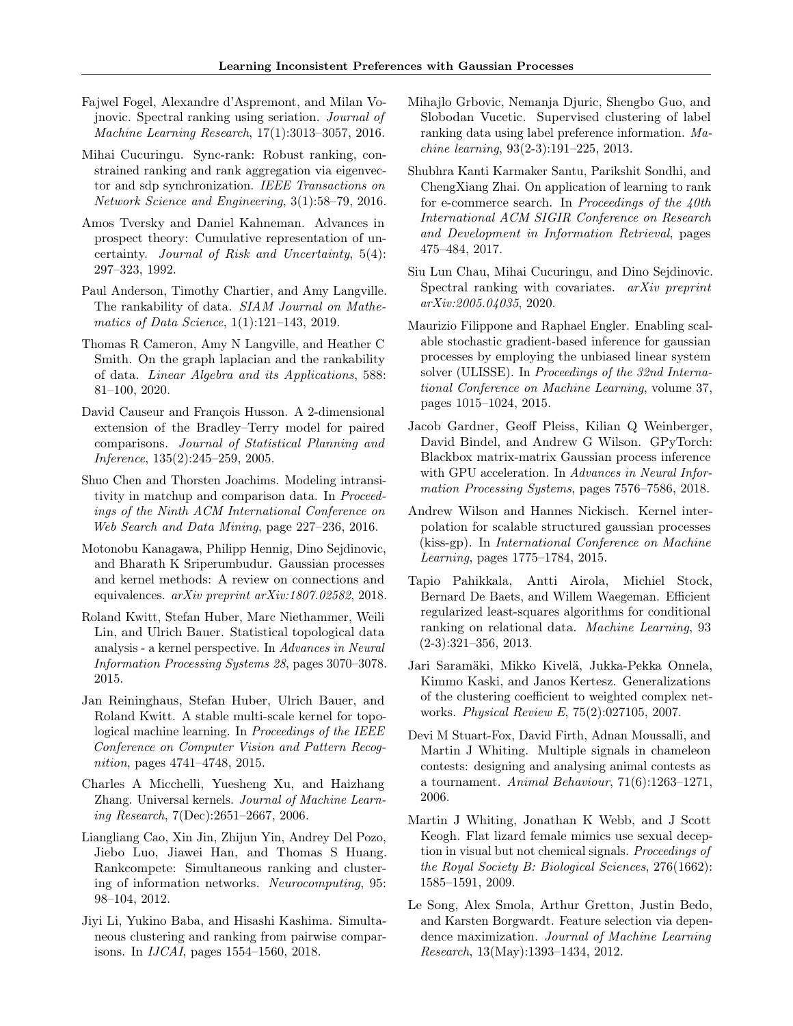- <span id="page-9-0"></span>Fajwel Fogel, Alexandre d'Aspremont, and Milan Vojnovic. Spectral ranking using seriation. Journal of Machine Learning Research, 17(1):3013–3057, 2016.
- <span id="page-9-1"></span>Mihai Cucuringu. Sync-rank: Robust ranking, constrained ranking and rank aggregation via eigenvector and sdp synchronization. IEEE Transactions on Network Science and Engineering, 3(1):58–79, 2016.
- <span id="page-9-2"></span>Amos Tversky and Daniel Kahneman. Advances in prospect theory: Cumulative representation of uncertainty. Journal of Risk and Uncertainty, 5(4): 297–323, 1992.
- <span id="page-9-3"></span>Paul Anderson, Timothy Chartier, and Amy Langville. The rankability of data. SIAM Journal on Mathematics of Data Science, 1(1):121-143, 2019.
- <span id="page-9-4"></span>Thomas R Cameron, Amy N Langville, and Heather C Smith. On the graph laplacian and the rankability of data. Linear Algebra and its Applications, 588: 81–100, 2020.
- <span id="page-9-5"></span>David Causeur and François Husson. A 2-dimensional extension of the Bradley–Terry model for paired comparisons. Journal of Statistical Planning and Inference, 135(2):245–259, 2005.
- <span id="page-9-6"></span>Shuo Chen and Thorsten Joachims. Modeling intransitivity in matchup and comparison data. In Proceedings of the Ninth ACM International Conference on Web Search and Data Mining, page 227–236, 2016.
- <span id="page-9-7"></span>Motonobu Kanagawa, Philipp Hennig, Dino Sejdinovic, and Bharath K Sriperumbudur. Gaussian processes and kernel methods: A review on connections and equivalences. arXiv preprint arXiv:1807.02582, 2018.
- <span id="page-9-8"></span>Roland Kwitt, Stefan Huber, Marc Niethammer, Weili Lin, and Ulrich Bauer. Statistical topological data analysis - a kernel perspective. In Advances in Neural Information Processing Systems 28, pages 3070–3078. 2015.
- <span id="page-9-9"></span>Jan Reininghaus, Stefan Huber, Ulrich Bauer, and Roland Kwitt. A stable multi-scale kernel for topological machine learning. In Proceedings of the IEEE Conference on Computer Vision and Pattern Recognition, pages 4741–4748, 2015.
- <span id="page-9-10"></span>Charles A Micchelli, Yuesheng Xu, and Haizhang Zhang. Universal kernels. Journal of Machine Learning Research, 7(Dec):2651–2667, 2006.
- <span id="page-9-11"></span>Liangliang Cao, Xin Jin, Zhijun Yin, Andrey Del Pozo, Jiebo Luo, Jiawei Han, and Thomas S Huang. Rankcompete: Simultaneous ranking and clustering of information networks. Neurocomputing, 95: 98–104, 2012.
- <span id="page-9-12"></span>Jiyi Li, Yukino Baba, and Hisashi Kashima. Simultaneous clustering and ranking from pairwise comparisons. In IJCAI, pages 1554–1560, 2018.
- <span id="page-9-13"></span>Mihajlo Grbovic, Nemanja Djuric, Shengbo Guo, and Slobodan Vucetic. Supervised clustering of label ranking data using label preference information. Machine learning, 93(2-3):191–225, 2013.
- <span id="page-9-14"></span>Shubhra Kanti Karmaker Santu, Parikshit Sondhi, and ChengXiang Zhai. On application of learning to rank for e-commerce search. In Proceedings of the  $40th$ International ACM SIGIR Conference on Research and Development in Information Retrieval, pages 475–484, 2017.
- <span id="page-9-15"></span>Siu Lun Chau, Mihai Cucuringu, and Dino Sejdinovic. Spectral ranking with covariates. *arXiv preprint* arXiv:2005.04035, 2020.
- <span id="page-9-16"></span>Maurizio Filippone and Raphael Engler. Enabling scalable stochastic gradient-based inference for gaussian processes by employing the unbiased linear system solver (ULISSE). In Proceedings of the 32nd International Conference on Machine Learning, volume 37, pages 1015–1024, 2015.
- <span id="page-9-17"></span>Jacob Gardner, Geoff Pleiss, Kilian Q Weinberger, David Bindel, and Andrew G Wilson. GPyTorch: Blackbox matrix-matrix Gaussian process inference with GPU acceleration. In Advances in Neural Information Processing Systems, pages 7576–7586, 2018.
- <span id="page-9-18"></span>Andrew Wilson and Hannes Nickisch. Kernel interpolation for scalable structured gaussian processes (kiss-gp). In International Conference on Machine Learning, pages 1775–1784, 2015.
- <span id="page-9-19"></span>Tapio Pahikkala, Antti Airola, Michiel Stock, Bernard De Baets, and Willem Waegeman. Efficient regularized least-squares algorithms for conditional ranking on relational data. Machine Learning, 93 (2-3):321–356, 2013.
- <span id="page-9-20"></span>Jari Saramäki, Mikko Kivelä, Jukka-Pekka Onnela, Kimmo Kaski, and Janos Kertesz. Generalizations of the clustering coefficient to weighted complex networks. Physical Review E, 75(2):027105, 2007.
- <span id="page-9-21"></span>Devi M Stuart-Fox, David Firth, Adnan Moussalli, and Martin J Whiting. Multiple signals in chameleon contests: designing and analysing animal contests as a tournament. Animal Behaviour, 71(6):1263–1271, 2006.
- <span id="page-9-22"></span>Martin J Whiting, Jonathan K Webb, and J Scott Keogh. Flat lizard female mimics use sexual deception in visual but not chemical signals. Proceedings of the Royal Society B: Biological Sciences, 276(1662): 1585–1591, 2009.
- <span id="page-9-23"></span>Le Song, Alex Smola, Arthur Gretton, Justin Bedo, and Karsten Borgwardt. Feature selection via dependence maximization. Journal of Machine Learning Research, 13(May):1393–1434, 2012.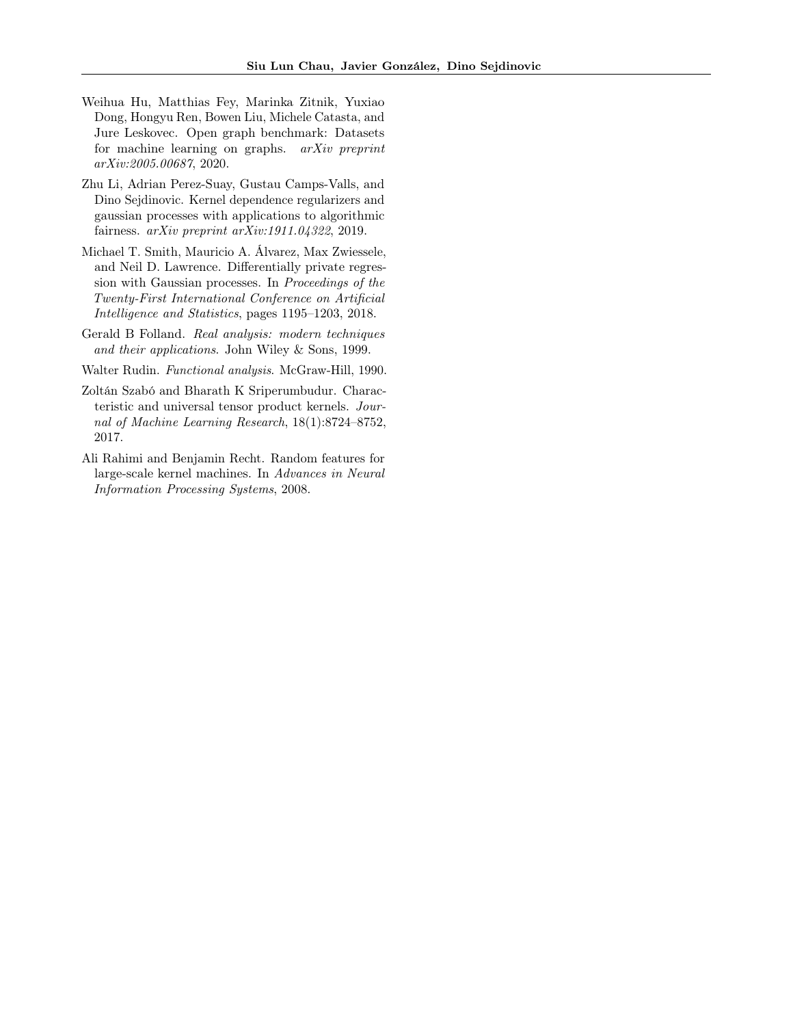- <span id="page-10-0"></span>Weihua Hu, Matthias Fey, Marinka Zitnik, Yuxiao Dong, Hongyu Ren, Bowen Liu, Michele Catasta, and Jure Leskovec. Open graph benchmark: Datasets for machine learning on graphs.  $arXiv$  preprint arXiv:2005.00687, 2020.
- <span id="page-10-1"></span>Zhu Li, Adrian Perez-Suay, Gustau Camps-Valls, and Dino Sejdinovic. Kernel dependence regularizers and gaussian processes with applications to algorithmic fairness. arXiv preprint arXiv:1911.04322, 2019.
- <span id="page-10-2"></span>Michael T. Smith, Mauricio A. Álvarez, Max Zwiessele, and Neil D. Lawrence. Differentially private regression with Gaussian processes. In Proceedings of the Twenty-First International Conference on Artificial Intelligence and Statistics, pages 1195–1203, 2018.
- <span id="page-10-3"></span>Gerald B Folland. Real analysis: modern techniques and their applications. John Wiley & Sons, 1999.

<span id="page-10-4"></span>Walter Rudin. Functional analysis. McGraw-Hill, 1990.

- <span id="page-10-5"></span>Zoltán Szabó and Bharath K Sriperumbudur. Characteristic and universal tensor product kernels. Journal of Machine Learning Research, 18(1):8724–8752, 2017.
- <span id="page-10-6"></span>Ali Rahimi and Benjamin Recht. Random features for large-scale kernel machines. In Advances in Neural Information Processing Systems, 2008.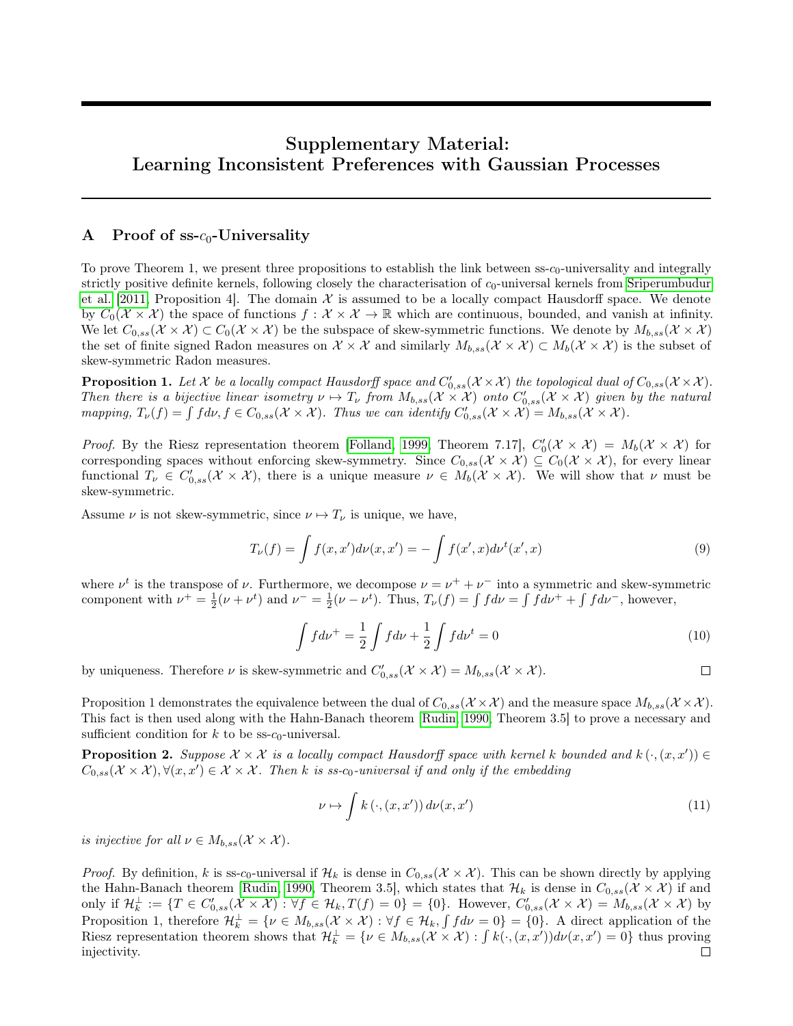## Supplementary Material: Learning Inconsistent Preferences with Gaussian Processes

#### A Proof of  $ss-c_0$ -Universality

To prove Theorem 1, we present three propositions to establish the link between  $\text{ss-}c_0$ -universality and integrally strictly positive definite kernels, following closely the characterisation of  $c_0$ -universal kernels from [Sriperumbudur](#page-8-9) [et al.](#page-8-9) [\[2011,](#page-8-9) Proposition 4]. The domain  $\mathcal X$  is assumed to be a locally compact Hausdorff space. We denote by  $C_0(\mathcal{X} \times \mathcal{X})$  the space of functions  $f : \mathcal{X} \times \mathcal{X} \to \mathbb{R}$  which are continuous, bounded, and vanish at infinity. We let  $C_{0,ss}(X \times X) \subset C_0(X \times X)$  be the subspace of skew-symmetric functions. We denote by  $M_{b,ss}(X \times X)$ the set of finite signed Radon measures on  $\mathcal{X} \times \mathcal{X}$  and similarly  $M_{b,ss}(\mathcal{X} \times \mathcal{X}) \subset M_b(\mathcal{X} \times \mathcal{X})$  is the subset of skew-symmetric Radon measures.

**Proposition 1.** Let X be a locally compact Hausdorff space and  $C'_{0,ss}(\mathcal{X}\times\mathcal{X})$  the topological dual of  $C_{0,ss}(\mathcal{X}\times\mathcal{X})$ . Then there is a bijective linear isometry  $\nu \mapsto T_{\nu}$  from  $M_{b,ss}(\mathcal{X} \times \mathcal{X})$  onto  $C'_{0,ss}(\mathcal{X} \times \mathcal{X})$  given by the natural mapping,  $T_{\nu}(f) = \int f d\nu, f \in C_{0,ss}(\mathcal{X} \times \mathcal{X})$ . Thus we can identify  $C'_{0,ss}(\mathcal{X} \times \mathcal{X}) = M_{b,ss}(\mathcal{X} \times \mathcal{X})$ .

*Proof.* By the Riesz representation theorem [\[Folland, 1999,](#page-10-3) Theorem 7.17],  $C'_0(\mathcal{X} \times \mathcal{X}) = M_b(\mathcal{X} \times \mathcal{X})$  for corresponding spaces without enforcing skew-symmetry. Since  $C_{0,ss}(\mathcal{X}\times\mathcal{X})\subseteq C_0(\mathcal{X}\times\mathcal{X})$ , for every linear functional  $T_{\nu} \in C'_{0,ss}(\mathcal{X} \times \mathcal{X})$ , there is a unique measure  $\nu \in M_b(\mathcal{X} \times \mathcal{X})$ . We will show that  $\nu$  must be skew-symmetric.

Assume  $\nu$  is not skew-symmetric, since  $\nu \mapsto T_{\nu}$  is unique, we have,

$$
T_{\nu}(f) = \int f(x, x') d\nu(x, x') = -\int f(x', x) d\nu^{t}(x', x)
$$
\n(9)

where  $\nu^t$  is the transpose of  $\nu$ . Furthermore, we decompose  $\nu = \nu^+ + \nu^-$  into a symmetric and skew-symmetric component with  $\nu^+ = \frac{1}{2}(\nu + \nu^t)$  and  $\nu^- = \frac{1}{2}(\nu - \nu^t)$ . Thus,  $T_{\nu}(f) = \int f d\nu = \int f d\nu^+ + \int f d\nu^-$ , however,

$$
\int f d\nu^{+} = \frac{1}{2} \int f d\nu + \frac{1}{2} \int f d\nu^{t} = 0
$$
\n(10)

 $\Box$ 

by uniqueness. Therefore  $\nu$  is skew-symmetric and  $C'_{0,ss}(\mathcal{X} \times \mathcal{X}) = M_{b,ss}(\mathcal{X} \times \mathcal{X})$ .

Proposition 1 demonstrates the equivalence between the dual of  $C_{0,ss}(X\times X)$  and the measure space  $M_{b,ss}(X\times X)$ . This fact is then used along with the Hahn-Banach theorem [\[Rudin, 1990,](#page-10-4) Theorem 3.5] to prove a necessary and sufficient condition for  $k$  to be ss- $c_0$ -universal.

**Proposition 2.** Suppose  $\mathcal{X} \times \mathcal{X}$  is a locally compact Hausdorff space with kernel k bounded and  $k(\cdot, (x, x')) \in$  $C_{0,ss}(\mathcal{X} \times \mathcal{X}), \forall (x,x') \in \mathcal{X} \times \mathcal{X}$ . Then k is ss-c<sub>0</sub>-universal if and only if the embedding

$$
\nu \mapsto \int k(\cdot, (x, x')) \, d\nu(x, x') \tag{11}
$$

is injective for all  $\nu \in M_{b,ss}(\mathcal{X} \times \mathcal{X})$ .

*Proof.* By definition, k is ss-c<sub>0</sub>-universal if  $\mathcal{H}_k$  is dense in  $C_{0,ss}(\mathcal{X}\times\mathcal{X})$ . This can be shown directly by applying the Hahn-Banach theorem [\[Rudin, 1990,](#page-10-4) Theorem 3.5], which states that  $\mathcal{H}_k$  is dense in  $C_{0,ss}(\mathcal{X}\times\mathcal{X})$  if and only if  $\mathcal{H}_k^{\perp} := \{T \in C'_{0,ss}(\mathcal{X} \times \mathcal{X}) : \forall f \in \mathcal{H}_k, T(f) = 0\} = \{0\}.$  However,  $C'_{0,ss}(\mathcal{X} \times \mathcal{X}) = M_{b,ss}(\mathcal{X} \times \mathcal{X})$  by Proposition 1, therefore  $\mathcal{H}_k^{\perp} = \{ \nu \in M_{b,ss}(\mathcal{X} \times \mathcal{X}) : \forall f \in \mathcal{H}_k, \int f d\nu = 0 \} = \{0\}.$  A direct application of the Riesz representation theorem shows that  $\mathcal{H}_k^{\perp} = \{ \nu \in M_{b,ss}(\mathcal{X} \times \mathcal{X}) : \int k(\cdot, (x, x')) d\nu(x, x') = 0 \}$  thus proving injectivity. $\Box$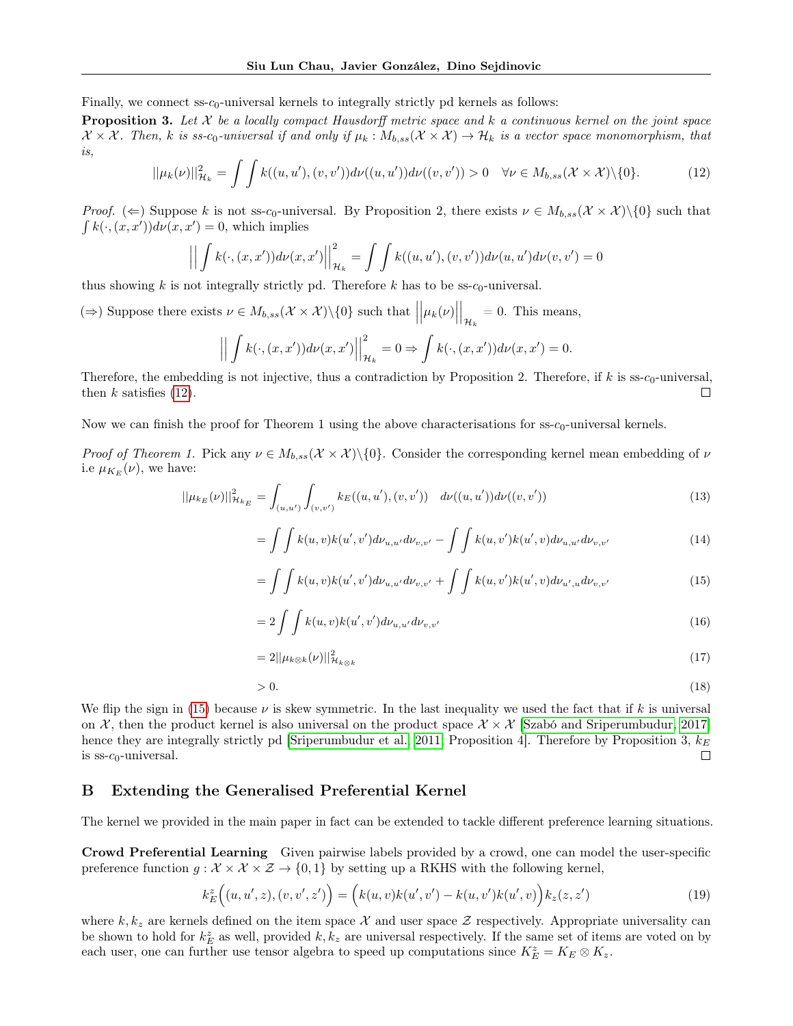Finally, we connect ss- $c_0$ -universal kernels to integrally strictly pd kernels as follows:

**Proposition 3.** Let  $X$  be a locally compact Hausdorff metric space and  $k$  a continuous kernel on the joint space  $\mathcal{X} \times \mathcal{X}$ . Then, k is ss-c<sub>0</sub>-universal if and only if  $\mu_k : M_{b,ss}(\mathcal{X} \times \mathcal{X}) \to \mathcal{H}_k$  is a vector space monomorphism, that is,

<span id="page-12-0"></span>
$$
||\mu_k(\nu)||_{\mathcal{H}_k}^2 = \int \int k((u, u'), (v, v')) d\nu((u, u')) d\nu((v, v')) > 0 \quad \forall \nu \in M_{b, ss}(\mathcal{X} \times \mathcal{X}) \setminus \{0\}.
$$
 (12)

*Proof.* ( $\Leftarrow$ ) Suppose k is not ss-c<sub>0</sub>-universal. By Proposition 2, there exists  $\nu \in M_{b,ss}(\mathcal{X} \times \mathcal{X})\setminus\{0\}$  such that  $\int k(\cdot,(x,x'))d\nu(x,x')=0$ , which implies

$$
\left\| \int k(\cdot, (x, x')) d\nu(x, x') \right\|_{\mathcal{H}_k}^2 = \int \int k((u, u'), (v, v')) d\nu(u, u') d\nu(v, v') = 0
$$

thus showing k is not integrally strictly pd. Therefore k has to be  $\text{ss-c}_0$ -universal.

(⇒) Suppose there exists  $\nu \in M_{b,ss}(\mathcal{X} \times \mathcal{X}) \setminus \{0\}$  such that  $|$  $\bigg|\mu_k(\nu)\bigg|$  $\Big|_{\mathcal{H}_k} = 0$ . This means,

$$
\left| \left| \int k(\cdot, (x, x')) d\nu(x, x') \right| \right|_{\mathcal{H}_k}^2 = 0 \Rightarrow \int k(\cdot, (x, x')) d\nu(x, x') = 0.
$$

Therefore, the embedding is not injective, thus a contradiction by Proposition 2. Therefore, if  $k$  is ss- $c_0$ -universal, then  $k$  satisfies [\(12\)](#page-12-0).  $\Box$ 

Now we can finish the proof for Theorem 1 using the above characterisations for  $\text{ss-}c_0$ -universal kernels.

Proof of Theorem 1. Pick any  $\nu \in M_{b,ss}(\mathcal{X} \times \mathcal{X})\setminus\{0\}$ . Consider the corresponding kernel mean embedding of  $\nu$ i.e  $\mu_{K_E}(\nu)$ , we have:

$$
||\mu_{k_E}(\nu)||_{\mathcal{H}_{k_E}}^2 = \int_{(u,u')} \int_{(v,v')} k_E((u,u'),(v,v')) \ d\nu((u,u'))d\nu((v,v')) \tag{13}
$$

$$
= \int \int k(u,v)k(u',v')d\nu_{u,u'}d\nu_{v,v'} - \int \int k(u,v')k(u',v)d\nu_{u,u'}d\nu_{v,v'} \tag{14}
$$

<span id="page-12-1"></span>
$$
= \int \int k(u,v)k(u',v')d\nu_{u,u'}d\nu_{v,v'} + \int \int k(u,v')k(u',v)d\nu_{u',u}d\nu_{v,v'} \tag{15}
$$

$$
= 2 \int \int k(u, v)k(u', v') d\nu_{u, u'} d\nu_{v, v'} \tag{16}
$$

$$
=2||\mu_{k\otimes k}(\nu)||_{\mathcal{H}_{k\otimes k}}^2\tag{17}
$$

$$
>0.\tag{18}
$$

We flip the sign in [\(15\)](#page-12-1) because  $\nu$  is skew symmetric. In the last inequality we used the fact that if k is universal on X, then the product kernel is also universal on the product space  $X \times X$  [\[Szabó and Sriperumbudur, 2017\]](#page-10-5) hence they are integrally strictly pd [\[Sriperumbudur et al., 2011,](#page-8-9) Proposition 4]. Therefore by Proposition 3,  $k_E$ is  $ss-c_0$ -universal.  $\Box$ 

## B Extending the Generalised Preferential Kernel

The kernel we provided in the main paper in fact can be extended to tackle different preference learning situations.

Crowd Preferential Learning Given pairwise labels provided by a crowd, one can model the user-specific preference function  $g: \mathcal{X} \times \mathcal{X} \times \mathcal{Z} \rightarrow \{0,1\}$  by setting up a RKHS with the following kernel,

$$
k_E^z((u, u', z), (v, v', z')) = (k(u, v)k(u', v') - k(u, v')k(u', v))k_z(z, z')
$$
\n(19)

where  $k, k_z$  are kernels defined on the item space X and user space Z respectively. Appropriate universality can be shown to hold for  $k_E^z$  as well, provided  $k, k_z$  are universal respectively. If the same set of items are voted on by each user, one can further use tensor algebra to speed up computations since  $K_E^z = K_E \otimes K_z$ .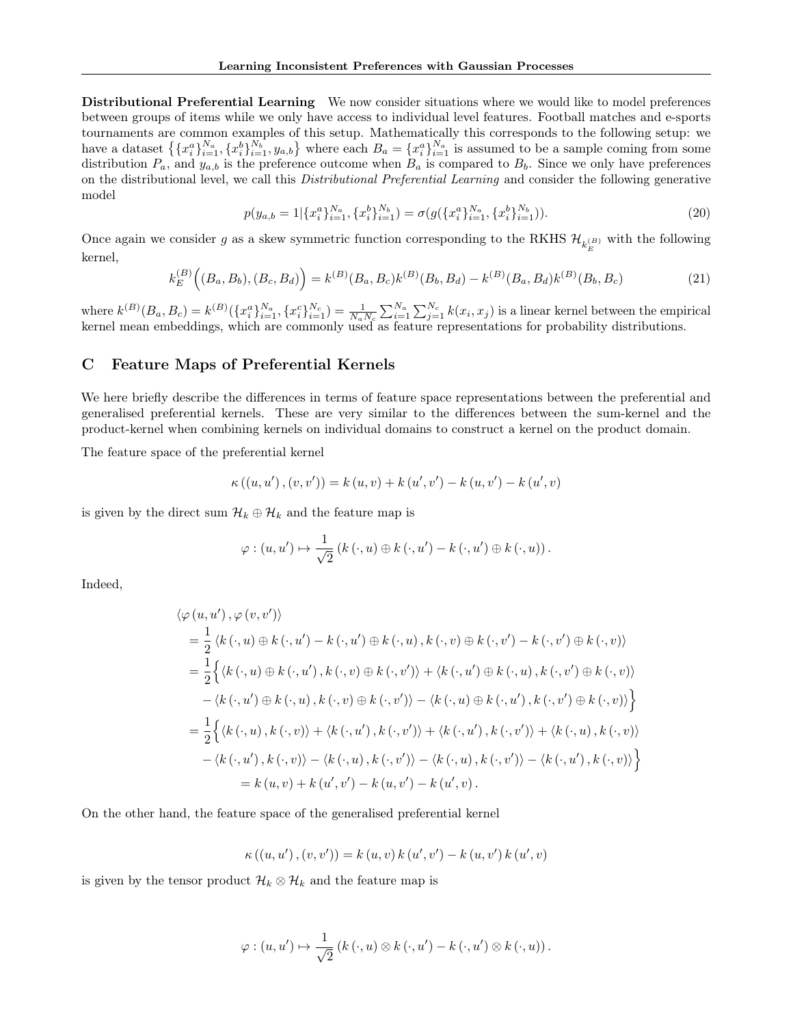Distributional Preferential Learning We now consider situations where we would like to model preferences between groups of items while we only have access to individual level features. Football matches and e-sports tournaments are common examples of this setup. Mathematically this corresponds to the following setup: we have a dataset  $\{\{x_i^a\}_{i=1}^{N_a}, \{x_i^b\}_{i=1}^{N_b}, y_{a,b}\}$  where each  $B_a = \{x_i^a\}_{i=1}^{N_a}$  is assumed to be a sample coming from some distribution  $P_a$ , and  $y_{a,b}$  is the preference outcome when  $B_a$  is compared to  $B_b$ . Since we only have preferences on the distributional level, we call this *Distributional Preferential Learning* and consider the following generative model

$$
p(y_{a,b} = 1 | \{x_i^a\}_{i=1}^{N_a}, \{x_i^b\}_{i=1}^{N_b}) = \sigma(g(\{x_i^a\}_{i=1}^{N_a}, \{x_i^b\}_{i=1}^{N_b})).
$$
\n(20)

Once again we consider g as a skew symmetric function corresponding to the RKHS  $\mathcal{H}_{k_E^{(B)}}$  with the following kernel,

$$
k_E^{(B)}\Big((B_a, B_b), (B_c, B_d)\Big) = k^{(B)}(B_a, B_c)k^{(B)}(B_b, B_d) - k^{(B)}(B_a, B_d)k^{(B)}(B_b, B_c)
$$
\n(21)

where  $k^{(B)}(B_a, B_c) = k^{(B)}(\{x_i^a\}_{i=1}^{N_a}, \{x_i^c\}_{i=1}^{N_c}) = \frac{1}{N_a N_c} \sum_{i=1}^{N_a} \sum_{j=1}^{N_c} k(x_i, x_j)$  is a linear kernel between the empirical kernel mean embeddings, which are commonly used as feature representations for probability distributions.

### C Feature Maps of Preferential Kernels

We here briefly describe the differences in terms of feature space representations between the preferential and generalised preferential kernels. These are very similar to the differences between the sum-kernel and the product-kernel when combining kernels on individual domains to construct a kernel on the product domain.

The feature space of the preferential kernel

$$
\kappa ((u, u'), (v, v')) = k (u, v) + k (u', v') - k (u, v') - k (u', v)
$$

is given by the direct sum  $\mathcal{H}_k \oplus \mathcal{H}_k$  and the feature map is

$$
\varphi : (u, u') \mapsto \frac{1}{\sqrt{2}} (k(\cdot, u) \oplus k(\cdot, u') - k(\cdot, u') \oplus k(\cdot, u)).
$$

Indeed,

$$
\langle \varphi(u, u'), \varphi(v, v') \rangle
$$
  
=  $\frac{1}{2} \langle k(\cdot, u) \oplus k(\cdot, u') - k(\cdot, u') \oplus k(\cdot, u), k(\cdot, v) \oplus k(\cdot, v') - k(\cdot, v') \oplus k(\cdot, v) \rangle$   
=  $\frac{1}{2} \Big\{ \langle k(\cdot, u) \oplus k(\cdot, u'), k(\cdot, v) \oplus k(\cdot, v') \rangle + \langle k(\cdot, u') \oplus k(\cdot, u), k(\cdot, v') \oplus k(\cdot, v) \rangle$   
 $-\langle k(\cdot, u') \oplus k(\cdot, u), k(\cdot, v) \oplus k(\cdot, v') \rangle - \langle k(\cdot, u) \oplus k(\cdot, u'), k(\cdot, v') \oplus k(\cdot, v) \rangle \Big\}$   
=  $\frac{1}{2} \Big\{ \langle k(\cdot, u), k(\cdot, v) \rangle + \langle k(\cdot, u'), k(\cdot, v') \rangle + \langle k(\cdot, u'), k(\cdot, v') \rangle + \langle k(\cdot, u), k(\cdot, v) \rangle$   
 $-\langle k(\cdot, u'), k(\cdot, v) \rangle - \langle k(\cdot, u), k(\cdot, v') \rangle - \langle k(\cdot, u), k(\cdot, v') \rangle - \langle k(\cdot, u'), k(\cdot, v) \rangle \Big\}$   
=  $k(u, v) + k(u', v') - k(u, v') - k(u', v).$ 

On the other hand, the feature space of the generalised preferential kernel

$$
\kappa ((u, u'), (v, v')) = k (u, v) k (u', v') - k (u, v') k (u', v)
$$

is given by the tensor product  $\mathcal{H}_k \otimes \mathcal{H}_k$  and the feature map is

$$
\varphi : (u, u') \mapsto \frac{1}{\sqrt{2}} (k(\cdot, u) \otimes k(\cdot, u') - k(\cdot, u') \otimes k(\cdot, u)).
$$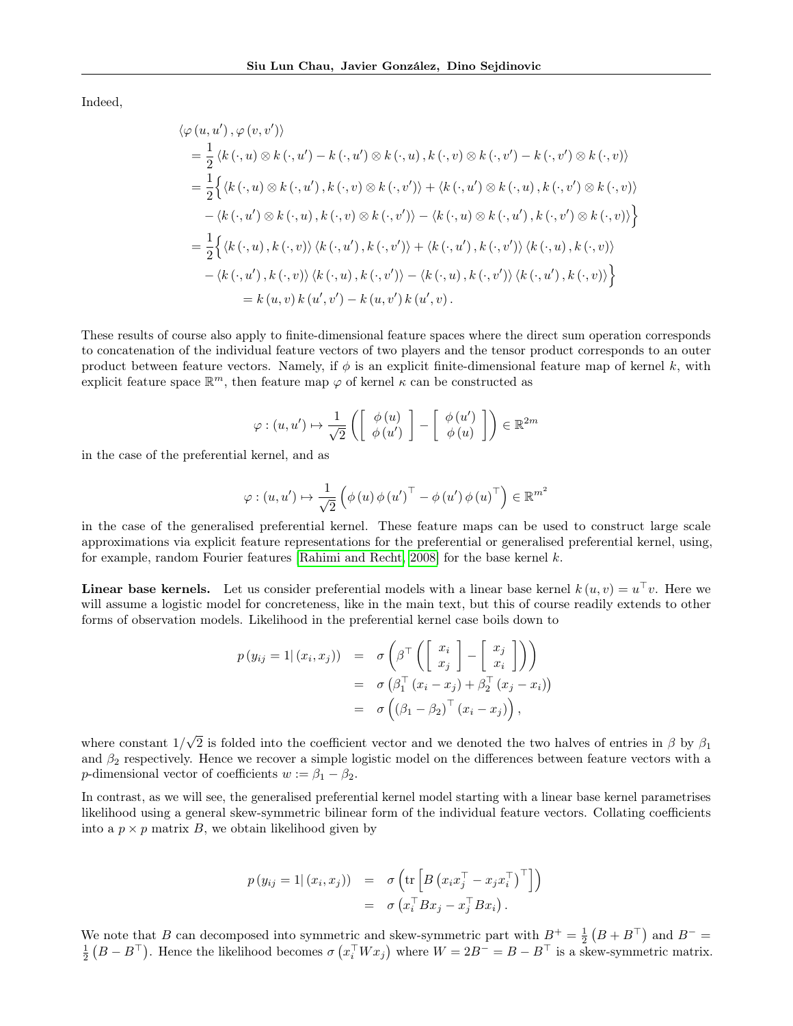Indeed,

$$
\langle \varphi(u, u'), \varphi(v, v') \rangle
$$
  
=  $\frac{1}{2} \langle k(\cdot, u) \otimes k(\cdot, u') - k(\cdot, u') \otimes k(\cdot, u), k(\cdot, v) \otimes k(\cdot, v') - k(\cdot, v') \otimes k(\cdot, v) \rangle$   
=  $\frac{1}{2} \Big\{ \langle k(\cdot, u) \otimes k(\cdot, u'), k(\cdot, v) \otimes k(\cdot, v') \rangle + \langle k(\cdot, u') \otimes k(\cdot, u), k(\cdot, v') \otimes k(\cdot, v) \rangle$   
 $-\langle k(\cdot, u') \otimes k(\cdot, u), k(\cdot, v) \otimes k(\cdot, v') \rangle - \langle k(\cdot, u) \otimes k(\cdot, u'), k(\cdot, v') \otimes k(\cdot, v) \rangle \Big\}$   
=  $\frac{1}{2} \Big\{ \langle k(\cdot, u), k(\cdot, v) \rangle \langle k(\cdot, u'), k(\cdot, v') \rangle + \langle k(\cdot, u'), k(\cdot, v') \rangle \langle k(\cdot, u), k(\cdot, v) \rangle$   
 $-\langle k(\cdot, u'), k(\cdot, v) \rangle \langle k(\cdot, u), k(\cdot, v') \rangle - \langle k(\cdot, u), k(\cdot, v') \rangle \langle k(\cdot, u'), k(\cdot, v) \rangle \Big\}$   
=  $k(u, v) k(u', v') - k(u, v') k(u', v).$ 

These results of course also apply to finite-dimensional feature spaces where the direct sum operation corresponds to concatenation of the individual feature vectors of two players and the tensor product corresponds to an outer product between feature vectors. Namely, if  $\phi$  is an explicit finite-dimensional feature map of kernel k, with explicit feature space  $\mathbb{R}^m$ , then feature map  $\varphi$  of kernel  $\kappa$  can be constructed as

$$
\varphi : (u, u') \mapsto \frac{1}{\sqrt{2}} \left( \left[ \begin{array}{c} \phi(u) \\ \phi(u') \end{array} \right] - \left[ \begin{array}{c} \phi(u') \\ \phi(u) \end{array} \right] \right) \in \mathbb{R}^{2m}
$$

in the case of the preferential kernel, and as

$$
\varphi : (u, u') \mapsto \frac{1}{\sqrt{2}} \left( \phi \left( u \right) \phi \left( u' \right)^\top - \phi \left( u' \right) \phi \left( u \right)^\top \right) \in \mathbb{R}^{m^2}
$$

in the case of the generalised preferential kernel. These feature maps can be used to construct large scale approximations via explicit feature representations for the preferential or generalised preferential kernel, using, for example, random Fourier features [\[Rahimi and Recht, 2008\]](#page-10-6) for the base kernel k.

**Linear base kernels.** Let us consider preferential models with a linear base kernel  $k(u, v) = u^{\top}v$ . Here we will assume a logistic model for concreteness, like in the main text, but this of course readily extends to other forms of observation models. Likelihood in the preferential kernel case boils down to

$$
p(y_{ij} = 1 | (x_i, x_j)) = \sigma \left( \beta^{\top} \left( \begin{bmatrix} x_i \\ x_j \end{bmatrix} - \begin{bmatrix} x_j \\ x_i \end{bmatrix} \right) \right)
$$
  
=  $\sigma \left( \beta_1^{\top} (x_i - x_j) + \beta_2^{\top} (x_j - x_i) \right)$   
=  $\sigma \left( (\beta_1 - \beta_2)^{\top} (x_i - x_j) \right),$ 

where constant 1/ √ 2 is folded into the coefficient vector and we denoted the two halves of entries in  $\beta$  by  $\beta_1$ and  $\beta_2$  respectively. Hence we recover a simple logistic model on the differences between feature vectors with a p-dimensional vector of coefficients  $w := \beta_1 - \beta_2$ .

In contrast, as we will see, the generalised preferential kernel model starting with a linear base kernel parametrises likelihood using a general skew-symmetric bilinear form of the individual feature vectors. Collating coefficients into a  $p \times p$  matrix B, we obtain likelihood given by

$$
p(y_{ij} = 1 | (x_i, x_j)) = \sigma \left( \text{tr} \left[ B \left( x_i x_j^{\top} - x_j x_i^{\top} \right)^{\top} \right] \right)
$$
  
=  $\sigma \left( x_i^{\top} B x_j - x_j^{\top} B x_i \right).$ 

We note that B can decomposed into symmetric and skew-symmetric part with  $B^+ = \frac{1}{2}(B + B^{\top})$  and  $B^- =$  $\frac{1}{2}(B - B^{\top})$ . Hence the likelihood becomes  $\sigma(x_i^{\top} W x_j)$  where  $W = 2B^{-} = B - B^{\top}$  is a skew-symmetric matrix.